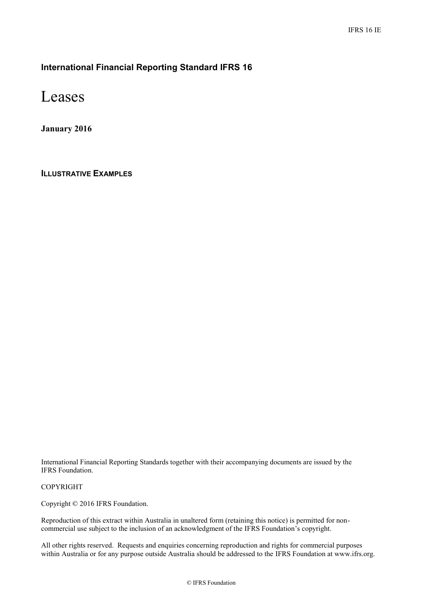## **International Financial Reporting Standard IFRS 16**

## Leases

**January 2016**

**ILLUSTRATIVE EXAMPLES**

International Financial Reporting Standards together with their accompanying documents are issued by the IFRS Foundation.

## COPYRIGHT

Copyright © 2016 IFRS Foundation.

Reproduction of this extract within Australia in unaltered form (retaining this notice) is permitted for noncommercial use subject to the inclusion of an acknowledgment of the IFRS Foundation's copyright.

All other rights reserved. Requests and enquiries concerning reproduction and rights for commercial purposes within Australia or for any purpose outside Australia should be addressed to the IFRS Foundation at www.ifrs.org.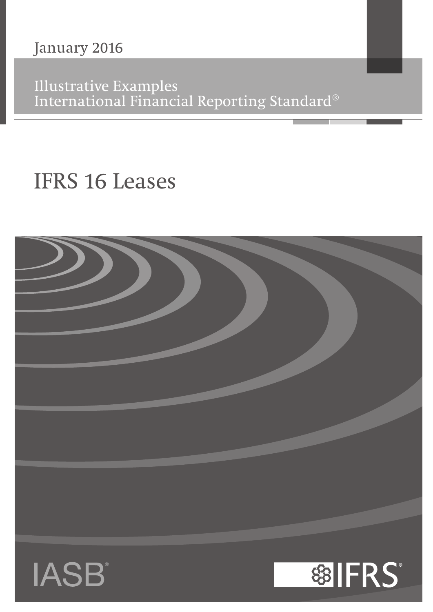## January 2016

Illustrative Examples International Financial Reporting Standard $^\circ$ 

# IFRS 16 Leases

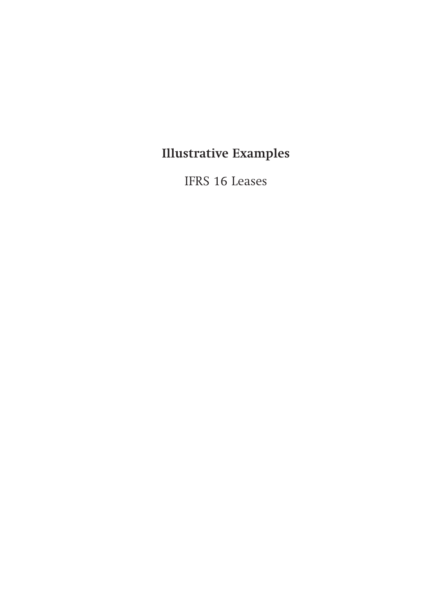## **Illustrative Examples**

IFRS 16 Leases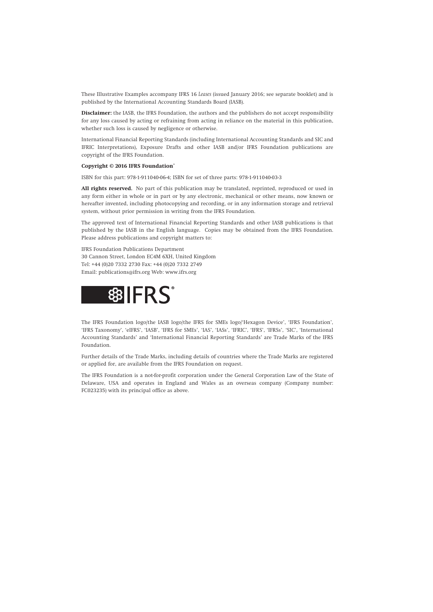These Illustrative Examples accompany IFRS 16 *Leases* (issued January 2016; see separate booklet) and is published by the International Accounting Standards Board (IASB).

**Disclaimer:** the IASB, the IFRS Foundation, the authors and the publishers do not accept responsibility for any loss caused by acting or refraining from acting in reliance on the material in this publication, whether such loss is caused by negligence or otherwise.

International Financial Reporting Standards (including International Accounting Standards and SIC and IFRIC Interpretations), Exposure Drafts and other IASB and/or IFRS Foundation publications are copyright of the IFRS Foundation.

#### **Copyright © 2016 IFRS Foundation®**

ISBN for this part: 978-1-911040-06-4; ISBN for set of three parts: 978-1-911040-03-3

**All rights reserved.** No part of this publication may be translated, reprinted, reproduced or used in any form either in whole or in part or by any electronic, mechanical or other means, now known or hereafter invented, including photocopying and recording, or in any information storage and retrieval system, without prior permission in writing from the IFRS Foundation.

The approved text of International Financial Reporting Standards and other IASB publications is that published by the IASB in the English language. Copies may be obtained from the IFRS Foundation. Please address publications and copyright matters to:

IFRS Foundation Publications Department 30 Cannon Street, London EC4M 6XH, United Kingdom Tel: +44 (0)20 7332 2730 Fax: +44 (0)20 7332 2749 Email: publications@ifrs.org Web: www.ifrs.org



The IFRS Foundation logo/the IASB logo/the IFRS for SMEs logo/'Hexagon Device', 'IFRS Foundation', 'IFRS Taxonomy', 'eIFRS', 'IASB', 'IFRS for SMEs', 'IAS', 'IASs', 'IFRIC', 'IFRS', 'IFRSs', 'SIC', 'International Accounting Standards' and 'International Financial Reporting Standards' are Trade Marks of the IFRS Foundation.

Further details of the Trade Marks, including details of countries where the Trade Marks are registered or applied for, are available from the IFRS Foundation on request.

The IFRS Foundation is a not-for-profit corporation under the General Corporation Law of the State of Delaware, USA and operates in England and Wales as an overseas company (Company number: FC023235) with its principal office as above.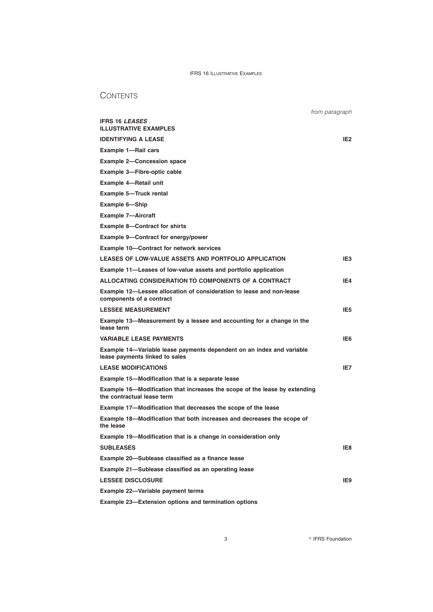## **CONTENTS**

|                                                                                                          | trom paragraph  |
|----------------------------------------------------------------------------------------------------------|-----------------|
| <b>IFRS 16 LEASES</b><br><b>ILLUSTRATIVE EXAMPLES</b>                                                    |                 |
| <b>IDENTIFYING A LEASE</b>                                                                               | IE <sub>2</sub> |
| Example 1-Rail cars                                                                                      |                 |
| <b>Example 2-Concession space</b>                                                                        |                 |
| Example 3-Fibre-optic cable                                                                              |                 |
| Example 4-Retail unit                                                                                    |                 |
| Example 5-Truck rental                                                                                   |                 |
| Example 6-Ship                                                                                           |                 |
| <b>Example 7-Aircraft</b>                                                                                |                 |
| <b>Example 8-Contract for shirts</b>                                                                     |                 |
| <b>Example 9–Contract for energy/power</b>                                                               |                 |
| <b>Example 10-Contract for network services</b>                                                          |                 |
| LEASES OF LOW-VALUE ASSETS AND PORTFOLIO APPLICATION                                                     | IE3             |
| <b>Example 11—Leases of low-value assets and portfolio application</b>                                   |                 |
| ALLOCATING CONSIDERATION TO COMPONENTS OF A CONTRACT                                                     | IE4             |
| Example 12—Lessee allocation of consideration to lease and non-lease<br>components of a contract         |                 |
| <b>LESSEE MEASUREMENT</b>                                                                                | IE5             |
| Example 13—Measurement by a lessee and accounting for a change in the<br>lease term                      |                 |
| <b>VARIABLE LEASE PAYMENTS</b>                                                                           | IE <sub>6</sub> |
| Example 14—Variable lease payments dependent on an index and variable<br>lease payments linked to sales  |                 |
| <b>LEASE MODIFICATIONS</b>                                                                               | IE7             |
| Example 15—Modification that is a separate lease                                                         |                 |
| Example 16—Modification that increases the scope of the lease by extending<br>the contractual lease term |                 |
| Example 17—Modification that decreases the scope of the lease                                            |                 |
| Example 18—Modification that both increases and decreases the scope of<br>the lease                      |                 |
| <b>Example 19—Modification that is a change in consideration only</b>                                    |                 |
| <b>SUBLEASES</b>                                                                                         | IE8             |
| Example 20—Sublease classified as a finance lease                                                        |                 |
| Example 21—Sublease classified as an operating lease                                                     |                 |
| <b>LESSEE DISCLOSURE</b>                                                                                 | IE9             |
| Example 22-Variable payment terms                                                                        |                 |
| <b>Example 23—Extension options and termination options</b>                                              |                 |

3 **Decision Structure 19 and 19 and 19 and 19 and 19 and 19 and 19 and 19 and 19 and 19 and 19 and 19 and 19 and 19 and 19 and 19 and 19 and 19 and 19 and 19 and 19 and 19 and 19 and 19 and 19 and 19 and 19 and 19 and 19 a**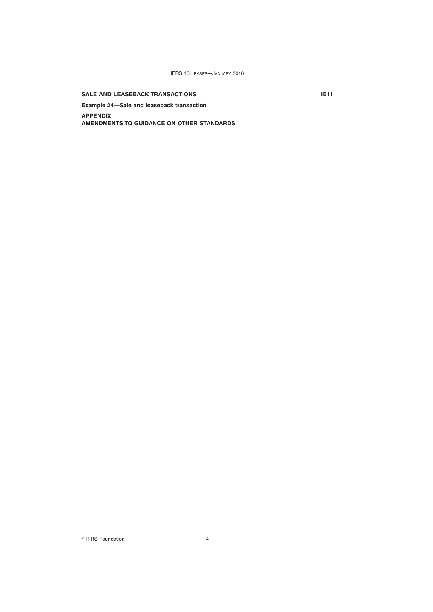## **SALE AND LEASEBACK TRANSACTIONS IE11**

**Example 24—Sale and leaseback transaction APPENDIX AMENDMENTS TO GUIDANCE ON OTHER STANDARDS**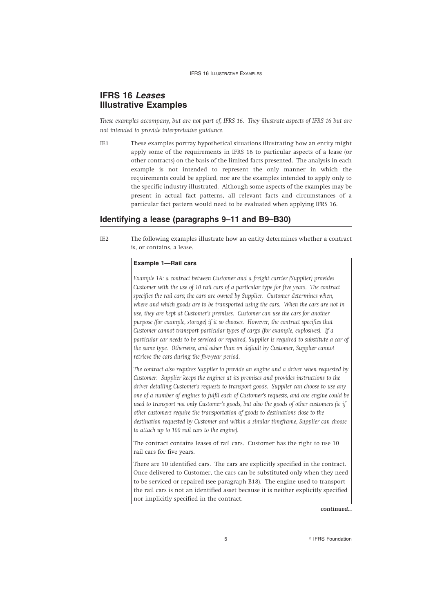## **IFRS 16** *Leases* **Illustrative Examples**

*These examples accompany, but are not part of, IFRS 16. They illustrate aspects of IFRS 16 but are not intended to provide interpretative guidance.*

IE1 These examples portray hypothetical situations illustrating how an entity might apply some of the requirements in IFRS 16 to particular aspects of a lease (or other contracts) on the basis of the limited facts presented. The analysis in each example is not intended to represent the only manner in which the requirements could be applied, nor are the examples intended to apply only to the specific industry illustrated. Although some aspects of the examples may be present in actual fact patterns, all relevant facts and circumstances of a particular fact pattern would need to be evaluated when applying IFRS 16.

## **Identifying a lease (paragraphs 9–11 and B9–B30)**

IE2 The following examples illustrate how an entity determines whether a contract is, or contains, a lease.

#### **Example 1—Rail cars**

*Example 1A: a contract between Customer and a freight carrier (Supplier) provides Customer with the use of 10 rail cars of a particular type for five years. The contract specifies the rail cars; the cars are owned by Supplier. Customer determines when, where and which goods are to be transported using the cars. When the cars are not in use, they are kept at Customer's premises. Customer can use the cars for another purpose (for example, storage) if it so chooses. However, the contract specifies that Customer cannot transport particular types of cargo (for example, explosives). If a particular car needs to be serviced or repaired, Supplier is required to substitute a car of the same type. Otherwise, and other than on default by Customer, Supplier cannot retrieve the cars during the five-year period.*

*The contract also requires Supplier to provide an engine and a driver when requested by Customer. Supplier keeps the engines at its premises and provides instructions to the driver detailing Customer's requests to transport goods. Supplier can choose to use any one of a number of engines to fulfil each of Customer's requests, and one engine could be used to transport not only Customer's goods, but also the goods of other customers (ie if other customers require the transportation of goods to destinations close to the destination requested by Customer and within a similar timeframe, Supplier can choose to attach up to 100 rail cars to the engine).*

The contract contains leases of rail cars. Customer has the right to use 10 rail cars for five years.

There are 10 identified cars. The cars are explicitly specified in the contract. Once delivered to Customer, the cars can be substituted only when they need to be serviced or repaired (see paragraph B18). The engine used to transport the rail cars is not an identified asset because it is neither explicitly specified nor implicitly specified in the contract.

*continued...*

5 **CONSIDERS CONSIDERS** Foundation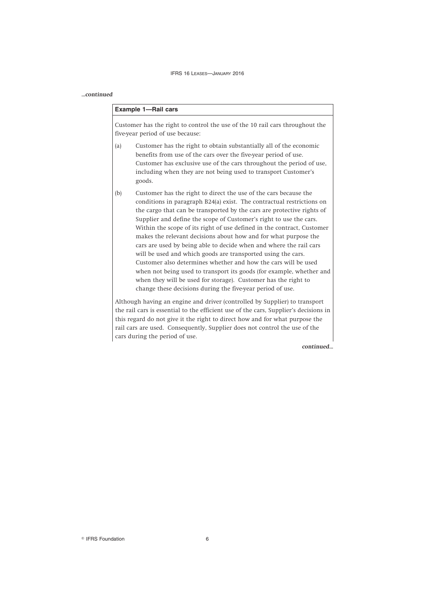## *...continued*

|     | <b>Example 1-Rail cars</b>                                                                                                                                                                                                                                                                                                                                                                                                                                                                                                                                                                                                                                                                                                                                                                                                                             |
|-----|--------------------------------------------------------------------------------------------------------------------------------------------------------------------------------------------------------------------------------------------------------------------------------------------------------------------------------------------------------------------------------------------------------------------------------------------------------------------------------------------------------------------------------------------------------------------------------------------------------------------------------------------------------------------------------------------------------------------------------------------------------------------------------------------------------------------------------------------------------|
|     | Customer has the right to control the use of the 10 rail cars throughout the<br>five-year period of use because:                                                                                                                                                                                                                                                                                                                                                                                                                                                                                                                                                                                                                                                                                                                                       |
| (a) | Customer has the right to obtain substantially all of the economic<br>benefits from use of the cars over the five-year period of use.<br>Customer has exclusive use of the cars throughout the period of use,<br>including when they are not being used to transport Customer's<br>goods.                                                                                                                                                                                                                                                                                                                                                                                                                                                                                                                                                              |
| (b) | Customer has the right to direct the use of the cars because the<br>conditions in paragraph B24(a) exist. The contractual restrictions on<br>the cargo that can be transported by the cars are protective rights of<br>Supplier and define the scope of Customer's right to use the cars.<br>Within the scope of its right of use defined in the contract, Customer<br>makes the relevant decisions about how and for what purpose the<br>cars are used by being able to decide when and where the rail cars<br>will be used and which goods are transported using the cars.<br>Customer also determines whether and how the cars will be used<br>when not being used to transport its goods (for example, whether and<br>when they will be used for storage). Customer has the right to<br>change these decisions during the five-year period of use. |
|     | Although having an engine and driver (controlled by Supplier) to transport<br>the rail cars is essential to the efficient use of the cars, Supplier's decisions in<br>this regard do not give it the right to direct how and for what purpose the<br>rail cars are used. Consequently, Supplier does not control the use of the<br>cars during the period of use.                                                                                                                                                                                                                                                                                                                                                                                                                                                                                      |

*continued...*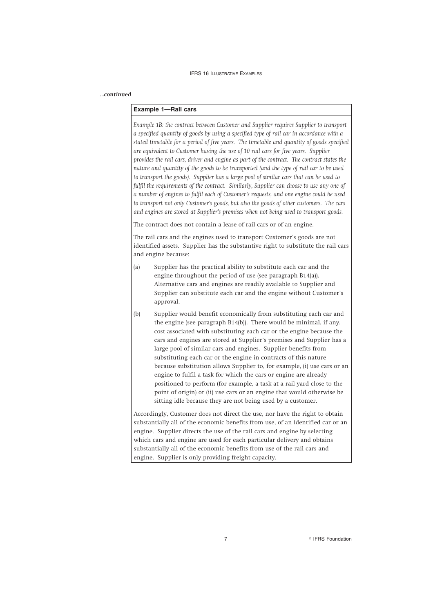#### *...continued*

#### **Example 1—Rail cars**

*Example 1B: the contract between Customer and Supplier requires Supplier to transport a specified quantity of goods by using a specified type of rail car in accordance with a stated timetable for a period of five years. The timetable and quantity of goods specified are equivalent to Customer having the use of 10 rail cars for five years. Supplier provides the rail cars, driver and engine as part of the contract. The contract states the nature and quantity of the goods to be transported (and the type of rail car to be used to transport the goods). Supplier has a large pool of similar cars that can be used to fulfil the requirements of the contract. Similarly, Supplier can choose to use any one of a number of engines to fulfil each of Customer's requests, and one engine could be used to transport not only Customer's goods, but also the goods of other customers. The cars and engines are stored at Supplier's premises when not being used to transport goods.*

The contract does not contain a lease of rail cars or of an engine.

The rail cars and the engines used to transport Customer's goods are not identified assets. Supplier has the substantive right to substitute the rail cars and engine because:

- (a) Supplier has the practical ability to substitute each car and the engine throughout the period of use (see paragraph B14(a)). Alternative cars and engines are readily available to Supplier and Supplier can substitute each car and the engine without Customer's approval.
- (b) Supplier would benefit economically from substituting each car and the engine (see paragraph B14(b)). There would be minimal, if any, cost associated with substituting each car or the engine because the cars and engines are stored at Supplier's premises and Supplier has a large pool of similar cars and engines. Supplier benefits from substituting each car or the engine in contracts of this nature because substitution allows Supplier to, for example, (i) use cars or an engine to fulfil a task for which the cars or engine are already positioned to perform (for example, a task at a rail yard close to the point of origin) or (ii) use cars or an engine that would otherwise be sitting idle because they are not being used by a customer.

Accordingly, Customer does not direct the use, nor have the right to obtain substantially all of the economic benefits from use, of an identified car or an engine. Supplier directs the use of the rail cars and engine by selecting which cars and engine are used for each particular delivery and obtains substantially all of the economic benefits from use of the rail cars and engine. Supplier is only providing freight capacity.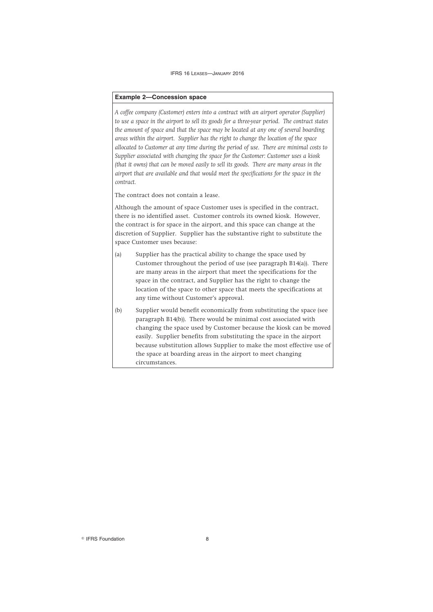## **Example 2—Concession space**

*A coffee company (Customer) enters into a contract with an airport operator (Supplier) to use a space in the airport to sell its goods for a three-year period. The contract states the amount of space and that the space may be located at any one of several boarding areas within the airport. Supplier has the right to change the location of the space allocated to Customer at any time during the period of use. There are minimal costs to Supplier associated with changing the space for the Customer: Customer uses a kiosk (that it owns) that can be moved easily to sell its goods. There are many areas in the airport that are available and that would meet the specifications for the space in the contract.*

The contract does not contain a lease.

Although the amount of space Customer uses is specified in the contract, there is no identified asset. Customer controls its owned kiosk. However, the contract is for space in the airport, and this space can change at the discretion of Supplier. Supplier has the substantive right to substitute the space Customer uses because:

- (a) Supplier has the practical ability to change the space used by Customer throughout the period of use (see paragraph B14(a)). There are many areas in the airport that meet the specifications for the space in the contract, and Supplier has the right to change the location of the space to other space that meets the specifications at any time without Customer's approval.
- (b) Supplier would benefit economically from substituting the space (see paragraph B14(b)). There would be minimal cost associated with changing the space used by Customer because the kiosk can be moved easily. Supplier benefits from substituting the space in the airport because substitution allows Supplier to make the most effective use of the space at boarding areas in the airport to meet changing circumstances.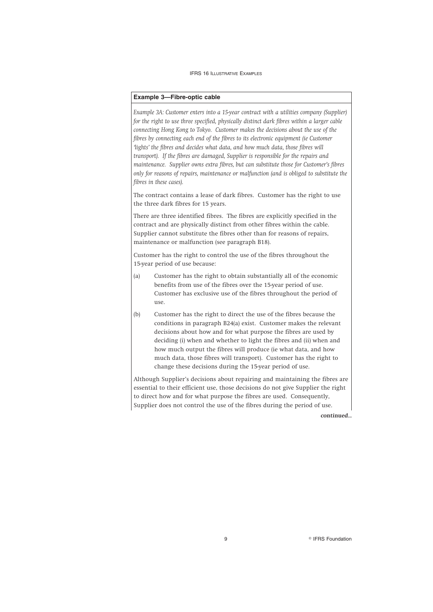### **Example 3—Fibre-optic cable**

*Example 3A: Customer enters into a 15-year contract with a utilities company (Supplier) for the right to use three specified, physically distinct dark fibres within a larger cable connecting Hong Kong to Tokyo. Customer makes the decisions about the use of the fibres by connecting each end of the fibres to its electronic equipment (ie Customer 'lights' the fibres and decides what data, and how much data, those fibres will transport). If the fibres are damaged, Supplier is responsible for the repairs and maintenance. Supplier owns extra fibres, but can substitute those for Customer's fibres only for reasons of repairs, maintenance or malfunction (and is obliged to substitute the fibres in these cases).*

The contract contains a lease of dark fibres. Customer has the right to use the three dark fibres for 15 years.

There are three identified fibres. The fibres are explicitly specified in the contract and are physically distinct from other fibres within the cable. Supplier cannot substitute the fibres other than for reasons of repairs, maintenance or malfunction (see paragraph B18).

Customer has the right to control the use of the fibres throughout the 15-year period of use because:

- (a) Customer has the right to obtain substantially all of the economic benefits from use of the fibres over the 15-year period of use. Customer has exclusive use of the fibres throughout the period of  $_{11}$ se.
- (b) Customer has the right to direct the use of the fibres because the conditions in paragraph B24(a) exist. Customer makes the relevant decisions about how and for what purpose the fibres are used by deciding (i) when and whether to light the fibres and (ii) when and how much output the fibres will produce (ie what data, and how much data, those fibres will transport). Customer has the right to change these decisions during the 15-year period of use.

Although Supplier's decisions about repairing and maintaining the fibres are essential to their efficient use, those decisions do not give Supplier the right to direct how and for what purpose the fibres are used. Consequently, Supplier does not control the use of the fibres during the period of use.

*continued...*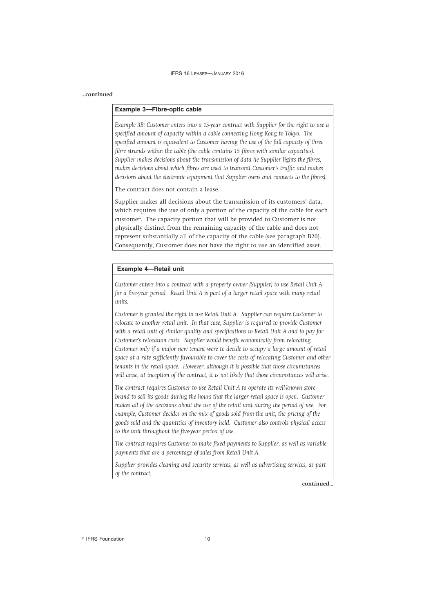#### *...continued*

#### **Example 3—Fibre-optic cable**

*Example 3B: Customer enters into a 15-year contract with Supplier for the right to use a specified amount of capacity within a cable connecting Hong Kong to Tokyo. The specified amount is equivalent to Customer having the use of the full capacity of three fibre strands within the cable (the cable contains 15 fibres with similar capacities). Supplier makes decisions about the transmission of data (ie Supplier lights the fibres, makes decisions about which fibres are used to transmit Customer's traffic and makes decisions about the electronic equipment that Supplier owns and connects to the fibres).*

The contract does not contain a lease.

Supplier makes all decisions about the transmission of its customers' data, which requires the use of only a portion of the capacity of the cable for each customer. The capacity portion that will be provided to Customer is not physically distinct from the remaining capacity of the cable and does not represent substantially all of the capacity of the cable (see paragraph B20). Consequently, Customer does not have the right to use an identified asset.

## **Example 4—Retail unit**

*Customer enters into a contract with a property owner (Supplier) to use Retail Unit A for a five-year period. Retail Unit A is part of a larger retail space with many retail units.*

*Customer is granted the right to use Retail Unit A. Supplier can require Customer to relocate to another retail unit. In that case, Supplier is required to provide Customer with a retail unit of similar quality and specifications to Retail Unit A and to pay for Customer's relocation costs. Supplier would benefit economically from relocating Customer only if a major new tenant were to decide to occupy a large amount of retail space at a rate sufficiently favourable to cover the costs of relocating Customer and other tenants in the retail space. However, although it is possible that those circumstances will arise, at inception of the contract, it is not likely that those circumstances will arise.*

*The contract requires Customer to use Retail Unit A to operate its well-known store brand to sell its goods during the hours that the larger retail space is open. Customer makes all of the decisions about the use of the retail unit during the period of use. For example, Customer decides on the mix of goods sold from the unit, the pricing of the goods sold and the quantities of inventory held. Customer also controls physical access to the unit throughout the five-year period of use.*

*The contract requires Customer to make fixed payments to Supplier, as well as variable payments that are a percentage of sales from Retail Unit A.*

*Supplier provides cleaning and security services, as well as advertising services, as part of the contract.*

*continued...*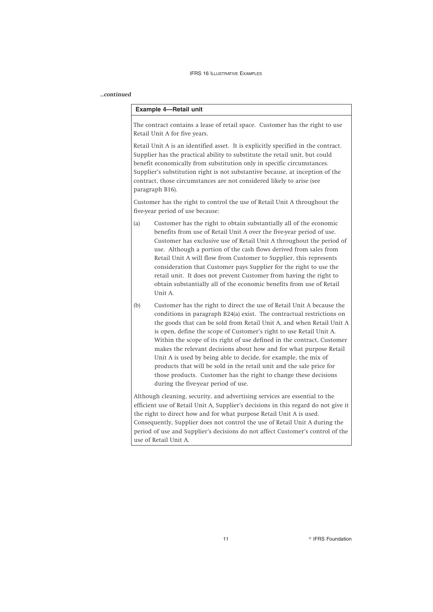#### *...continued*

#### **Example 4—Retail unit**

The contract contains a lease of retail space. Customer has the right to use Retail Unit A for five years.

Retail Unit A is an identified asset. It is explicitly specified in the contract. Supplier has the practical ability to substitute the retail unit, but could benefit economically from substitution only in specific circumstances. Supplier's substitution right is not substantive because, at inception of the contract, those circumstances are not considered likely to arise (see paragraph B16).

Customer has the right to control the use of Retail Unit A throughout the five-year period of use because:

- (a) Customer has the right to obtain substantially all of the economic benefits from use of Retail Unit A over the five-year period of use. Customer has exclusive use of Retail Unit A throughout the period of use. Although a portion of the cash flows derived from sales from Retail Unit A will flow from Customer to Supplier, this represents consideration that Customer pays Supplier for the right to use the retail unit. It does not prevent Customer from having the right to obtain substantially all of the economic benefits from use of Retail Unit A.
- (b) Customer has the right to direct the use of Retail Unit A because the conditions in paragraph B24(a) exist. The contractual restrictions on the goods that can be sold from Retail Unit A, and when Retail Unit A is open, define the scope of Customer's right to use Retail Unit A. Within the scope of its right of use defined in the contract, Customer makes the relevant decisions about how and for what purpose Retail Unit A is used by being able to decide, for example, the mix of products that will be sold in the retail unit and the sale price for those products. Customer has the right to change these decisions during the five-year period of use.

Although cleaning, security, and advertising services are essential to the efficient use of Retail Unit A, Supplier's decisions in this regard do not give it the right to direct how and for what purpose Retail Unit A is used. Consequently, Supplier does not control the use of Retail Unit A during the period of use and Supplier's decisions do not affect Customer's control of the use of Retail Unit A.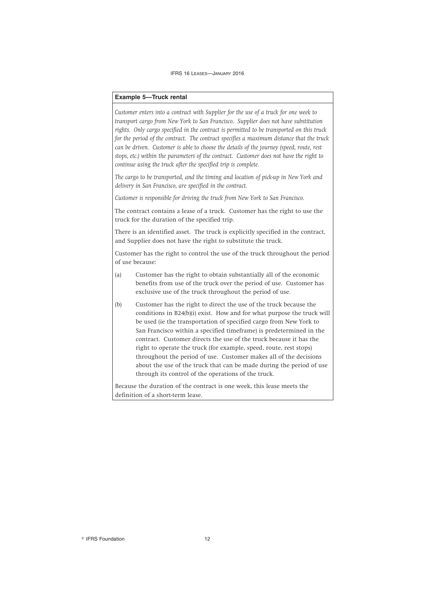## **Example 5—Truck rental**

*Customer enters into a contract with Supplier for the use of a truck for one week to transport cargo from New York to San Francisco. Supplier does not have substitution rights. Only cargo specified in the contract is permitted to be transported on this truck for the period of the contract. The contract specifies a maximum distance that the truck can be driven. Customer is able to choose the details of the journey (speed, route, rest stops, etc.) within the parameters of the contract. Customer does not have the right to continue using the truck after the specified trip is complete.*

*The cargo to be transported, and the timing and location of pick-up in New York and delivery in San Francisco, are specified in the contract.*

*Customer is responsible for driving the truck from New York to San Francisco.*

The contract contains a lease of a truck. Customer has the right to use the truck for the duration of the specified trip.

There is an identified asset. The truck is explicitly specified in the contract, and Supplier does not have the right to substitute the truck.

Customer has the right to control the use of the truck throughout the period of use because:

- (a) Customer has the right to obtain substantially all of the economic benefits from use of the truck over the period of use. Customer has exclusive use of the truck throughout the period of use.
- (b) Customer has the right to direct the use of the truck because the conditions in B24(b)(i) exist. How and for what purpose the truck will be used (ie the transportation of specified cargo from New York to San Francisco within a specified timeframe) is predetermined in the contract. Customer directs the use of the truck because it has the right to operate the truck (for example, speed, route, rest stops) throughout the period of use. Customer makes all of the decisions about the use of the truck that can be made during the period of use through its control of the operations of the truck.

Because the duration of the contract is one week, this lease meets the definition of a short-term lease.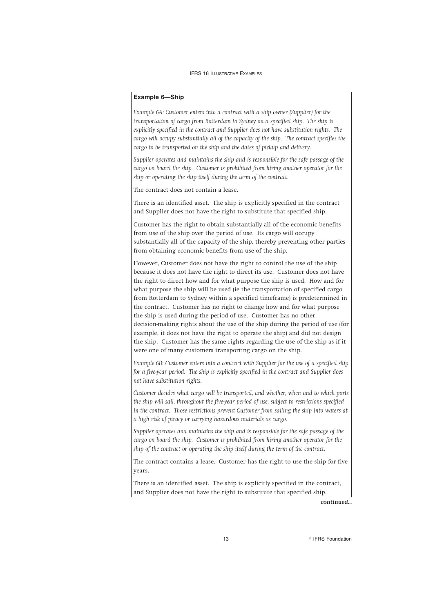## **Example 6—Ship**

*Example 6A: Customer enters into a contract with a ship owner (Supplier) for the transportation of cargo from Rotterdam to Sydney on a specified ship. The ship is explicitly specified in the contract and Supplier does not have substitution rights. The cargo will occupy substantially all of the capacity of the ship. The contract specifies the cargo to be transported on the ship and the dates of pickup and delivery.*

*Supplier operates and maintains the ship and is responsible for the safe passage of the cargo on board the ship. Customer is prohibited from hiring another operator for the ship or operating the ship itself during the term of the contract.*

The contract does not contain a lease.

There is an identified asset. The ship is explicitly specified in the contract and Supplier does not have the right to substitute that specified ship.

Customer has the right to obtain substantially all of the economic benefits from use of the ship over the period of use. Its cargo will occupy substantially all of the capacity of the ship, thereby preventing other parties from obtaining economic benefits from use of the ship.

However, Customer does not have the right to control the use of the ship because it does not have the right to direct its use. Customer does not have the right to direct how and for what purpose the ship is used. How and for what purpose the ship will be used (ie the transportation of specified cargo from Rotterdam to Sydney within a specified timeframe) is predetermined in the contract. Customer has no right to change how and for what purpose the ship is used during the period of use. Customer has no other decision-making rights about the use of the ship during the period of use (for example, it does not have the right to operate the ship) and did not design the ship. Customer has the same rights regarding the use of the ship as if it were one of many customers transporting cargo on the ship.

*Example 6B: Customer enters into a contract with Supplier for the use of a specified ship for a five-year period. The ship is explicitly specified in the contract and Supplier does not have substitution rights.*

*Customer decides what cargo will be transported, and whether, when and to which ports the ship will sail, throughout the five-year period of use, subject to restrictions specified in the contract. Those restrictions prevent Customer from sailing the ship into waters at a high risk of piracy or carrying hazardous materials as cargo.*

*Supplier operates and maintains the ship and is responsible for the safe passage of the cargo on board the ship. Customer is prohibited from hiring another operator for the ship of the contract or operating the ship itself during the term of the contract.*

The contract contains a lease. Customer has the right to use the ship for five years.

There is an identified asset. The ship is explicitly specified in the contract, and Supplier does not have the right to substitute that specified ship.

*continued...*

13 **Decision Contract Contract Contract Contract Contract Contract Contract Contract Contract Contract Contract Contract Contract Contract Contract Contract Contract Contract Contract Contract Contract Contract Contract Co**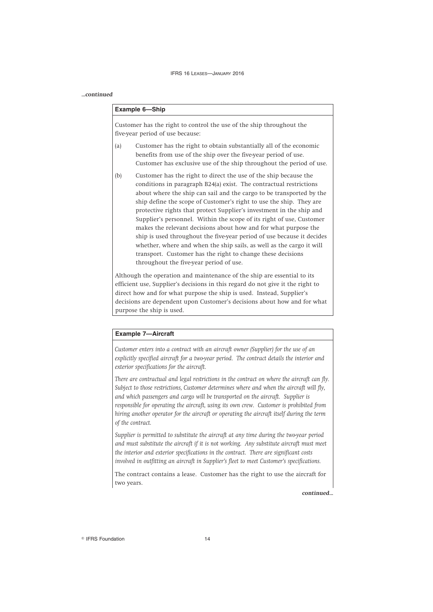#### *...continued*

**Example 6—Ship** Customer has the right to control the use of the ship throughout the five-year period of use because: (a) Customer has the right to obtain substantially all of the economic benefits from use of the ship over the five-year period of use. Customer has exclusive use of the ship throughout the period of use. (b) Customer has the right to direct the use of the ship because the conditions in paragraph B24(a) exist. The contractual restrictions about where the ship can sail and the cargo to be transported by the ship define the scope of Customer's right to use the ship. They are protective rights that protect Supplier's investment in the ship and Supplier's personnel. Within the scope of its right of use, Customer makes the relevant decisions about how and for what purpose the ship is used throughout the five-year period of use because it decides whether, where and when the ship sails, as well as the cargo it will transport. Customer has the right to change these decisions throughout the five-year period of use. Although the operation and maintenance of the ship are essential to its

efficient use, Supplier's decisions in this regard do not give it the right to direct how and for what purpose the ship is used. Instead, Supplier's decisions are dependent upon Customer's decisions about how and for what purpose the ship is used.

## **Example 7—Aircraft**

*Customer enters into a contract with an aircraft owner (Supplier) for the use of an explicitly specified aircraft for a two-year period. The contract details the interior and exterior specifications for the aircraft.*

*There are contractual and legal restrictions in the contract on where the aircraft can fly. Subject to those restrictions, Customer determines where and when the aircraft will fly, and which passengers and cargo will be transported on the aircraft. Supplier is responsible for operating the aircraft, using its own crew. Customer is prohibited from hiring another operator for the aircraft or operating the aircraft itself during the term of the contract.*

*Supplier is permitted to substitute the aircraft at any time during the two-year period and must substitute the aircraft if it is not working. Any substitute aircraft must meet the interior and exterior specifications in the contract. There are significant costs involved in outfitting an aircraft in Supplier's fleet to meet Customer's specifications.*

The contract contains a lease. Customer has the right to use the aircraft for two years.

*continued...*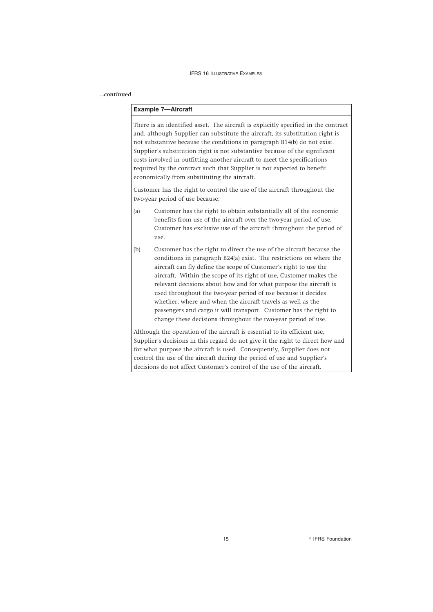### *...continued*

## **Example 7—Aircraft**

There is an identified asset. The aircraft is explicitly specified in the contract and, although Supplier can substitute the aircraft, its substitution right is not substantive because the conditions in paragraph B14(b) do not exist. Supplier's substitution right is not substantive because of the significant costs involved in outfitting another aircraft to meet the specifications required by the contract such that Supplier is not expected to benefit economically from substituting the aircraft.

Customer has the right to control the use of the aircraft throughout the two-year period of use because:

- (a) Customer has the right to obtain substantially all of the economic benefits from use of the aircraft over the two-year period of use. Customer has exclusive use of the aircraft throughout the period of use.
- (b) Customer has the right to direct the use of the aircraft because the conditions in paragraph B24(a) exist. The restrictions on where the aircraft can fly define the scope of Customer's right to use the aircraft. Within the scope of its right of use, Customer makes the relevant decisions about how and for what purpose the aircraft is used throughout the two-year period of use because it decides whether, where and when the aircraft travels as well as the passengers and cargo it will transport. Customer has the right to change these decisions throughout the two-year period of use.

Although the operation of the aircraft is essential to its efficient use, Supplier's decisions in this regard do not give it the right to direct how and for what purpose the aircraft is used. Consequently, Supplier does not control the use of the aircraft during the period of use and Supplier's decisions do not affect Customer's control of the use of the aircraft.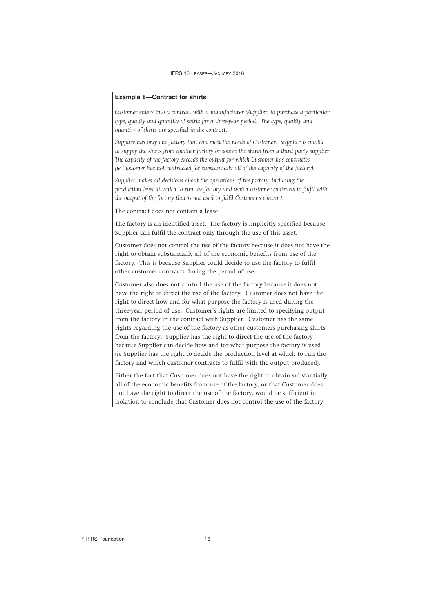## **Example 8—Contract for shirts**

*Customer enters into a contract with a manufacturer (Supplier) to purchase a particular type, quality and quantity of shirts for a three-year period. The type, quality and quantity of shirts are specified in the contract.*

*Supplier has only one factory that can meet the needs of Customer. Supplier is unable to supply the shirts from another factory or source the shirts from a third party supplier. The capacity of the factory exceeds the output for which Customer has contracted (ie Customer has not contracted for substantially all of the capacity of the factory).*

*Supplier makes all decisions about the operations of the factory, including the production level at which to run the factory and which customer contracts to fulfil with the output of the factory that is not used to fulfil Customer's contract.*

The contract does not contain a lease.

The factory is an identified asset. The factory is implicitly specified because Supplier can fulfil the contract only through the use of this asset.

Customer does not control the use of the factory because it does not have the right to obtain substantially all of the economic benefits from use of the factory. This is because Supplier could decide to use the factory to fulfil other customer contracts during the period of use.

Customer also does not control the use of the factory because it does not have the right to direct the use of the factory. Customer does not have the right to direct how and for what purpose the factory is used during the three-year period of use. Customer's rights are limited to specifying output from the factory in the contract with Supplier. Customer has the same rights regarding the use of the factory as other customers purchasing shirts from the factory. Supplier has the right to direct the use of the factory because Supplier can decide how and for what purpose the factory is used (ie Supplier has the right to decide the production level at which to run the factory and which customer contracts to fulfil with the output produced).

Either the fact that Customer does not have the right to obtain substantially all of the economic benefits from use of the factory, or that Customer does not have the right to direct the use of the factory, would be sufficient in isolation to conclude that Customer does not control the use of the factory.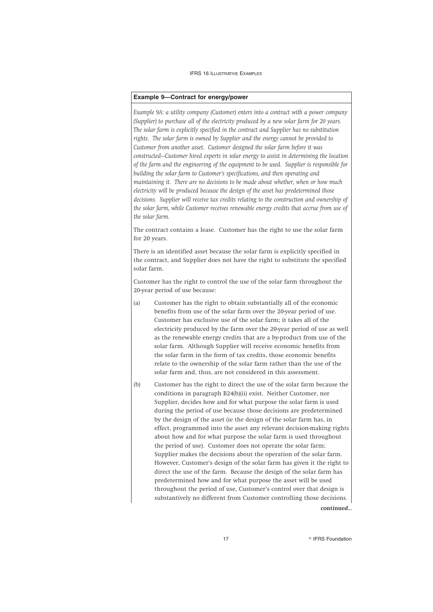## **Example 9—Contract for energy/power**

*Example 9A: a utility company (Customer) enters into a contract with a power company (Supplier) to purchase all of the electricity produced by a new solar farm for 20 years. The solar farm is explicitly specified in the contract and Supplier has no substitution rights. The solar farm is owned by Supplier and the energy cannot be provided to Customer from another asset. Customer designed the solar farm before it was constructed—Customer hired experts in solar energy to assist in determining the location of the farm and the engineering of the equipment to be used. Supplier is responsible for building the solar farm to Customer's specifications, and then operating and maintaining it. There are no decisions to be made about whether, when or how much electricity will be produced because the design of the asset has predetermined those decisions. Supplier will receive tax credits relating to the construction and ownership of the solar farm, while Customer receives renewable energy credits that accrue from use of the solar farm.*

The contract contains a lease. Customer has the right to use the solar farm for 20 years.

There is an identified asset because the solar farm is explicitly specified in the contract, and Supplier does not have the right to substitute the specified solar farm.

Customer has the right to control the use of the solar farm throughout the 20-year period of use because:

- (a) Customer has the right to obtain substantially all of the economic benefits from use of the solar farm over the 20-year period of use. Customer has exclusive use of the solar farm; it takes all of the electricity produced by the farm over the 20-year period of use as well as the renewable energy credits that are a by-product from use of the solar farm. Although Supplier will receive economic benefits from the solar farm in the form of tax credits, those economic benefits relate to the ownership of the solar farm rather than the use of the solar farm and, thus, are not considered in this assessment.
- (b) Customer has the right to direct the use of the solar farm because the conditions in paragraph B24(b)(ii) exist. Neither Customer, nor Supplier, decides how and for what purpose the solar farm is used during the period of use because those decisions are predetermined by the design of the asset (ie the design of the solar farm has, in effect, programmed into the asset any relevant decision-making rights about how and for what purpose the solar farm is used throughout the period of use). Customer does not operate the solar farm; Supplier makes the decisions about the operation of the solar farm. However, Customer's design of the solar farm has given it the right to direct the use of the farm. Because the design of the solar farm has predetermined how and for what purpose the asset will be used throughout the period of use, Customer's control over that design is substantively no different from Customer controlling those decisions.

*continued...*

17 **Decision** Contract Contract Contract Contract Contract Contract Contract Contract Contract Contract Contract Contract Contract Contract Contract Contract Contract Contract Contract Contract Contract Contract Contract C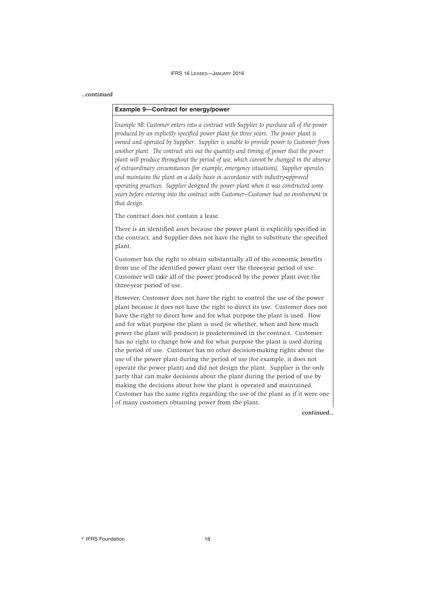#### *...continued*

### **Example 9—Contract for energy/power**

*Example 9B: Customer enters into a contract with Supplier to purchase all of the power produced by an explicitly specified power plant for three years. The power plant is owned and operated by Supplier. Supplier is unable to provide power to Customer from another plant. The contract sets out the quantity and timing of power that the power plant will produce throughout the period of use, which cannot be changed in the absence of extraordinary circumstances (for example, emergency situations). Supplier operates and maintains the plant on a daily basis in accordance with industry-approved operating practices. Supplier designed the power plant when it was constructed some years before entering into the contract with Customer—Customer had no involvement in that design.*

The contract does not contain a lease.

There is an identified asset because the power plant is explicitly specified in the contract, and Supplier does not have the right to substitute the specified plant.

Customer has the right to obtain substantially all of the economic benefits from use of the identified power plant over the three-year period of use. Customer will take all of the power produced by the power plant over the three-year period of use.

However, Customer does not have the right to control the use of the power plant because it does not have the right to direct its use. Customer does not have the right to direct how and for what purpose the plant is used. How and for what purpose the plant is used (ie whether, when and how much power the plant will produce) is predetermined in the contract. Customer has no right to change how and for what purpose the plant is used during the period of use. Customer has no other decision-making rights about the use of the power plant during the period of use (for example, it does not operate the power plant) and did not design the plant. Supplier is the only party that can make decisions about the plant during the period of use by making the decisions about how the plant is operated and maintained. Customer has the same rights regarding the use of the plant as if it were one of many customers obtaining power from the plant.

*continued...*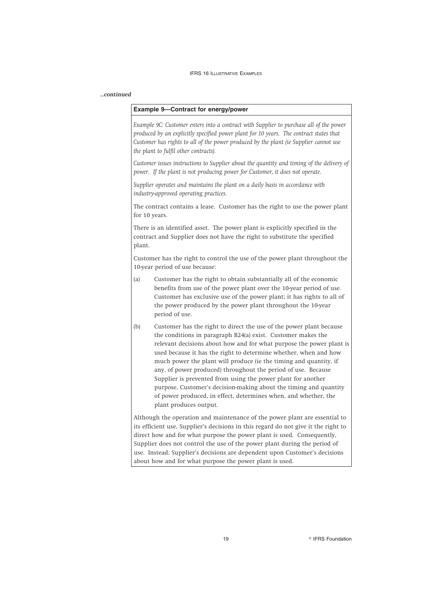### *...continued*

#### **Example 9—Contract for energy/power**

*Example 9C: Customer enters into a contract with Supplier to purchase all of the power produced by an explicitly specified power plant for 10 years. The contract states that Customer has rights to all of the power produced by the plant (ie Supplier cannot use the plant to fulfil other contracts).*

*Customer issues instructions to Supplier about the quantity and timing of the delivery of power. If the plant is not producing power for Customer, it does not operate.*

*Supplier operates and maintains the plant on a daily basis in accordance with industry-approved operating practices.*

The contract contains a lease. Customer has the right to use the power plant for 10 years.

There is an identified asset. The power plant is explicitly specified in the contract and Supplier does not have the right to substitute the specified plant.

Customer has the right to control the use of the power plant throughout the 10-year period of use because:

- (a) Customer has the right to obtain substantially all of the economic benefits from use of the power plant over the 10-year period of use. Customer has exclusive use of the power plant; it has rights to all of the power produced by the power plant throughout the 10-year period of use.
- (b) Customer has the right to direct the use of the power plant because the conditions in paragraph B24(a) exist. Customer makes the relevant decisions about how and for what purpose the power plant is used because it has the right to determine whether, when and how much power the plant will produce (ie the timing and quantity, if any, of power produced) throughout the period of use. Because Supplier is prevented from using the power plant for another purpose, Customer's decision-making about the timing and quantity of power produced, in effect, determines when, and whether, the plant produces output.

Although the operation and maintenance of the power plant are essential to its efficient use, Supplier's decisions in this regard do not give it the right to direct how and for what purpose the power plant is used. Consequently, Supplier does not control the use of the power plant during the period of use. Instead, Supplier's decisions are dependent upon Customer's decisions about how and for what purpose the power plant is used.

19 **DEEP SECURE 2018** CHERS Foundation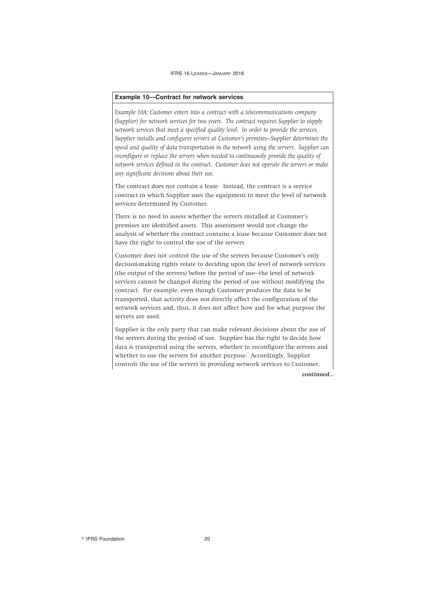#### **Example 10—Contract for network services**

*Example 10A: Customer enters into a contract with a telecommunications company (Supplier) for network services for two years. The contract requires Supplier to supply network services that meet a specified quality level. In order to provide the services, Supplier installs and configures servers at Customer's premises—Supplier determines the speed and quality of data transportation in the network using the servers. Supplier can reconfigure or replace the servers when needed to continuously provide the quality of network services defined in the contract. Customer does not operate the servers or make any significant decisions about their use.*

The contract does not contain a lease. Instead, the contract is a service contract in which Supplier uses the equipment to meet the level of network services determined by Customer.

There is no need to assess whether the servers installed at Customer's premises are identified assets. This assessment would not change the analysis of whether the contract contains a lease because Customer does not have the right to control the use of the servers.

Customer does not control the use of the servers because Customer's only decision-making rights relate to deciding upon the level of network services (the output of the servers) before the period of use—the level of network services cannot be changed during the period of use without modifying the contract. For example, even though Customer produces the data to be transported, that activity does not directly affect the configuration of the network services and, thus, it does not affect how and for what purpose the servers are used.

Supplier is the only party that can make relevant decisions about the use of the servers during the period of use. Supplier has the right to decide how data is transported using the servers, whether to reconfigure the servers and whether to use the servers for another purpose. Accordingly, Supplier controls the use of the servers in providing network services to Customer.

*continued...*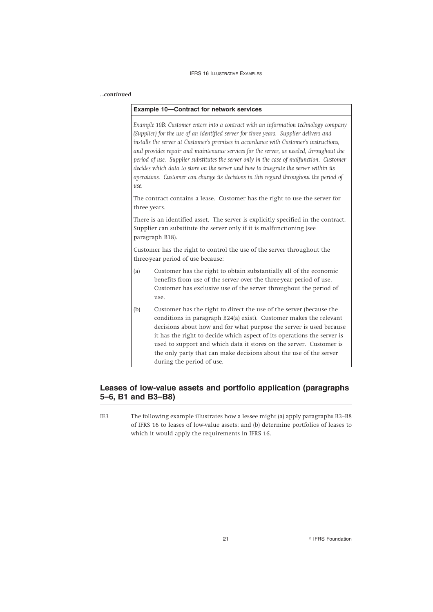### *...continued*

## **Example 10—Contract for network services**

*Example 10B: Customer enters into a contract with an information technology company (Supplier) for the use of an identified server for three years. Supplier delivers and installs the server at Customer's premises in accordance with Customer's instructions, and provides repair and maintenance services for the server, as needed, throughout the period of use. Supplier substitutes the server only in the case of malfunction. Customer decides which data to store on the server and how to integrate the server within its operations. Customer can change its decisions in this regard throughout the period of use.*

The contract contains a lease. Customer has the right to use the server for three years.

There is an identified asset. The server is explicitly specified in the contract. Supplier can substitute the server only if it is malfunctioning (see paragraph B18).

Customer has the right to control the use of the server throughout the three-year period of use because:

- (a) Customer has the right to obtain substantially all of the economic benefits from use of the server over the three-year period of use. Customer has exclusive use of the server throughout the period of use.
- (b) Customer has the right to direct the use of the server (because the conditions in paragraph B24(a) exist). Customer makes the relevant decisions about how and for what purpose the server is used because it has the right to decide which aspect of its operations the server is used to support and which data it stores on the server. Customer is the only party that can make decisions about the use of the server during the period of use.

## **Leases of low-value assets and portfolio application (paragraphs 5–6, B1 and B3–B8)**

IE3 The following example illustrates how a lessee might (a) apply paragraphs B3–B8 of IFRS 16 to leases of low-value assets; and (b) determine portfolios of leases to which it would apply the requirements in IFRS 16.

21 **Canadian Contract Contract Contract Contract Contract Contract Contract Contract Contract Contract Contract Contract Contract Contract Contract Contract Contract Contract Contract Contract Contract Contract Contract Co**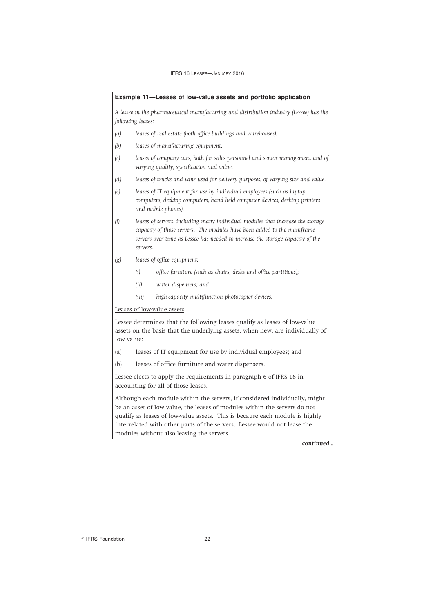|            |                                                                                                                                                                             | Example 11-Leases of low-value assets and portfolio application                                                                                                                                                                                                                                                                                                  |
|------------|-----------------------------------------------------------------------------------------------------------------------------------------------------------------------------|------------------------------------------------------------------------------------------------------------------------------------------------------------------------------------------------------------------------------------------------------------------------------------------------------------------------------------------------------------------|
|            | following leases:                                                                                                                                                           | A lessee in the pharmaceutical manufacturing and distribution industry (Lessee) has the                                                                                                                                                                                                                                                                          |
| (a)        |                                                                                                                                                                             | leases of real estate (both office buildings and warehouses).                                                                                                                                                                                                                                                                                                    |
| (b)        |                                                                                                                                                                             | leases of manufacturing equipment.                                                                                                                                                                                                                                                                                                                               |
| (c)        |                                                                                                                                                                             | leases of company cars, both for sales personnel and senior management and of<br>varying quality, specification and value.                                                                                                                                                                                                                                       |
| (d)        |                                                                                                                                                                             | leases of trucks and vans used for delivery purposes, of varying size and value.                                                                                                                                                                                                                                                                                 |
| (e)        | leases of IT equipment for use by individual employees (such as laptop<br>computers, desktop computers, hand held computer devices, desktop printers<br>and mobile phones). |                                                                                                                                                                                                                                                                                                                                                                  |
| (f)        | servers.                                                                                                                                                                    | leases of servers, including many individual modules that increase the storage<br>capacity of those servers. The modules have been added to the mainframe<br>servers over time as Lessee has needed to increase the storage capacity of the                                                                                                                      |
| (g)        |                                                                                                                                                                             | leases of office equipment:                                                                                                                                                                                                                                                                                                                                      |
|            | (i)                                                                                                                                                                         | office furniture (such as chairs, desks and office partitions);                                                                                                                                                                                                                                                                                                  |
|            | (ii)                                                                                                                                                                        | water dispensers; and                                                                                                                                                                                                                                                                                                                                            |
|            | (iii)                                                                                                                                                                       | high-capacity multifunction photocopier devices.                                                                                                                                                                                                                                                                                                                 |
|            |                                                                                                                                                                             | Leases of low-value assets                                                                                                                                                                                                                                                                                                                                       |
| low value: |                                                                                                                                                                             | Lessee determines that the following leases qualify as leases of low-value<br>assets on the basis that the underlying assets, when new, are individually of                                                                                                                                                                                                      |
| (a)        |                                                                                                                                                                             | leases of IT equipment for use by individual employees; and                                                                                                                                                                                                                                                                                                      |
| (b)        |                                                                                                                                                                             | leases of office furniture and water dispensers.                                                                                                                                                                                                                                                                                                                 |
|            |                                                                                                                                                                             | Lessee elects to apply the requirements in paragraph 6 of IFRS 16 in<br>accounting for all of those leases.                                                                                                                                                                                                                                                      |
|            |                                                                                                                                                                             | Although each module within the servers, if considered individually, might<br>be an asset of low value, the leases of modules within the servers do not<br>qualify as leases of low-value assets. This is because each module is highly<br>interrelated with other parts of the servers. Lessee would not lease the<br>modules without also leasing the servers. |
|            |                                                                                                                                                                             | continued                                                                                                                                                                                                                                                                                                                                                        |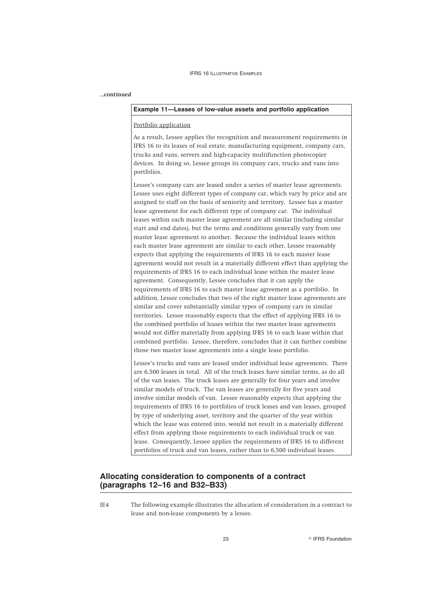### *...continued*

#### **Example 11—Leases of low-value assets and portfolio application**

#### Portfolio application

As a result, Lessee applies the recognition and measurement requirements in IFRS 16 to its leases of real estate, manufacturing equipment, company cars, trucks and vans, servers and high-capacity multifunction photocopier devices. In doing so, Lessee groups its company cars, trucks and vans into portfolios.

Lessee's company cars are leased under a series of master lease agreements. Lessee uses eight different types of company car, which vary by price and are assigned to staff on the basis of seniority and territory. Lessee has a master lease agreement for each different type of company car. The individual leases within each master lease agreement are all similar (including similar start and end dates), but the terms and conditions generally vary from one master lease agreement to another. Because the individual leases within each master lease agreement are similar to each other, Lessee reasonably expects that applying the requirements of IFRS 16 to each master lease agreement would not result in a materially different effect than applying the requirements of IFRS 16 to each individual lease within the master lease agreement. Consequently, Lessee concludes that it can apply the requirements of IFRS 16 to each master lease agreement as a portfolio. In addition, Lessee concludes that two of the eight master lease agreements are similar and cover substantially similar types of company cars in similar territories. Lessee reasonably expects that the effect of applying IFRS 16 to the combined portfolio of leases within the two master lease agreements would not differ materially from applying IFRS 16 to each lease within that combined portfolio. Lessee, therefore, concludes that it can further combine those two master lease agreements into a single lease portfolio.

Lessee's trucks and vans are leased under individual lease agreements. There are 6,500 leases in total. All of the truck leases have similar terms, as do all of the van leases. The truck leases are generally for four years and involve similar models of truck. The van leases are generally for five years and involve similar models of van. Lessee reasonably expects that applying the requirements of IFRS 16 to portfolios of truck leases and van leases, grouped by type of underlying asset, territory and the quarter of the year within which the lease was entered into, would not result in a materially different effect from applying those requirements to each individual truck or van lease. Consequently, Lessee applies the requirements of IFRS 16 to different portfolios of truck and van leases, rather than to 6,500 individual leases.

## **Allocating consideration to components of a contract (paragraphs 12–16 and B32–B33)**

IE4 The following example illustrates the allocation of consideration in a contract to lease and non-lease components by a lessee.

23 **CONFIDENTIAL CONSTRUCTS CONFIDENTIAL CONTINUES**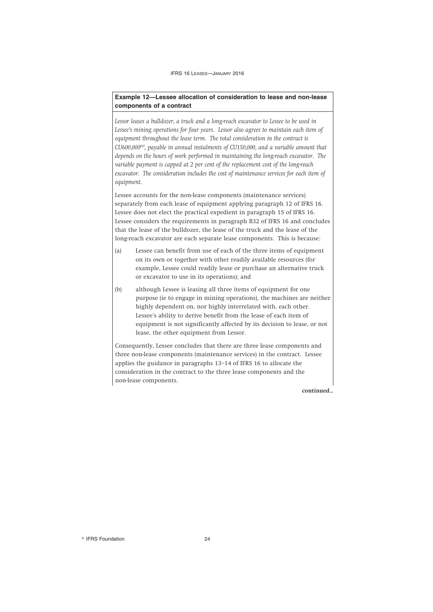## **Example 12—Lessee allocation of consideration to lease and non-lease components of a contract**

*Lessor leases a bulldozer, a truck and a long-reach excavator to Lessee to be used in Lessee's mining operations for four years. Lessor also agrees to maintain each item of equipment throughout the lease term. The total consideration in the contract is CU600,000(a), payable in annual instalments of CU150,000, and a variable amount that depends on the hours of work performed in maintaining the long-reach excavator. The variable payment is capped at 2 per cent of the replacement cost of the long-reach excavator. The consideration includes the cost of maintenance services for each item of equipment.*

Lessee accounts for the non-lease components (maintenance services) separately from each lease of equipment applying paragraph 12 of IFRS 16. Lessee does not elect the practical expedient in paragraph 15 of IFRS 16. Lessee considers the requirements in paragraph B32 of IFRS 16 and concludes that the lease of the bulldozer, the lease of the truck and the lease of the long-reach excavator are each separate lease components. This is because:

- (a) Lessee can benefit from use of each of the three items of equipment on its own or together with other readily available resources (for example, Lessee could readily lease or purchase an alternative truck or excavator to use in its operations); and
- (b) although Lessee is leasing all three items of equipment for one purpose (ie to engage in mining operations), the machines are neither highly dependent on, nor highly interrelated with, each other. Lessee's ability to derive benefit from the lease of each item of equipment is not significantly affected by its decision to lease, or not lease, the other equipment from Lessor.

Consequently, Lessee concludes that there are three lease components and three non-lease components (maintenance services) in the contract. Lessee applies the guidance in paragraphs 13–14 of IFRS 16 to allocate the consideration in the contract to the three lease components and the non-lease components.

*continued...*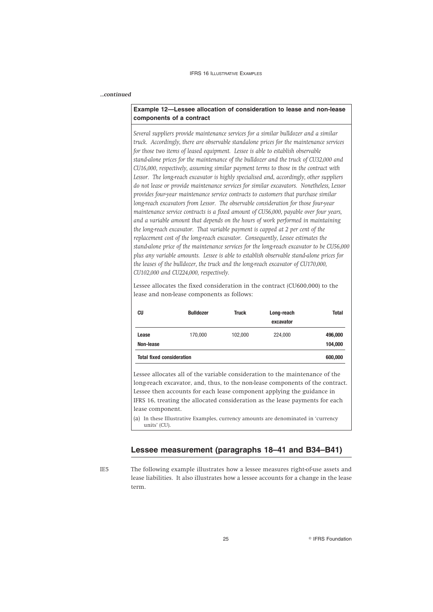#### *...continued*

## **Example 12—Lessee allocation of consideration to lease and non-lease components of a contract**

*Several suppliers provide maintenance services for a similar bulldozer and a similar truck. Accordingly, there are observable standalone prices for the maintenance services for those two items of leased equipment. Lessee is able to establish observable stand-alone prices for the maintenance of the bulldozer and the truck of CU32,000 and CU16,000, respectively, assuming similar payment terms to those in the contract with Lessor. The long-reach excavator is highly specialised and, accordingly, other suppliers do not lease or provide maintenance services for similar excavators. Nonetheless, Lessor provides four-year maintenance service contracts to customers that purchase similar long-reach excavators from Lessor. The observable consideration for those four-year maintenance service contracts is a fixed amount of CU56,000, payable over four years, and a variable amount that depends on the hours of work performed in maintaining the long-reach excavator. That variable payment is capped at 2 per cent of the replacement cost of the long-reach excavator. Consequently, Lessee estimates the stand-alone price of the maintenance services for the long-reach excavator to be CU56,000 plus any variable amounts. Lessee is able to establish observable stand-alone prices for the leases of the bulldozer, the truck and the long-reach excavator of CU170,000, CU102,000 and CU224,000, respectively.*

Lessee allocates the fixed consideration in the contract (CU600,000) to the lease and non-lease components as follows:

| CU                               | <b>Bulldozer</b> | <b>Truck</b> | Long-reach<br>excavator | Total   |
|----------------------------------|------------------|--------------|-------------------------|---------|
| Lease                            | 170,000          | 102,000      | 224,000                 | 496,000 |
| Non-lease                        |                  |              |                         | 104,000 |
| <b>Total fixed consideration</b> |                  |              |                         | 600,000 |

Lessee allocates all of the variable consideration to the maintenance of the long-reach excavator, and, thus, to the non-lease components of the contract. Lessee then accounts for each lease component applying the guidance in IFRS 16, treating the allocated consideration as the lease payments for each lease component.

(a) In these Illustrative Examples, currency amounts are denominated in 'currency units' (CU).

## **Lessee measurement (paragraphs 18–41 and B34–B41)**

IE5 The following example illustrates how a lessee measures right-of-use assets and lease liabilities. It also illustrates how a lessee accounts for a change in the lease term.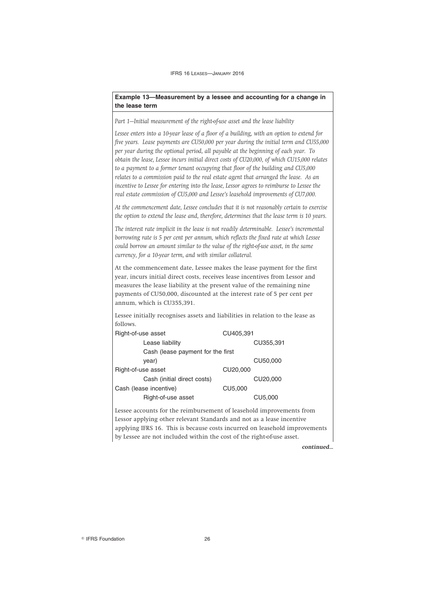## **Example 13—Measurement by a lessee and accounting for a change in the lease term**

*Part 1—Initial measurement of the right-of-use asset and the lease liability*

*Lessee enters into a 10-year lease of a floor of a building, with an option to extend for five years. Lease payments are CU50,000 per year during the initial term and CU55,000 per year during the optional period, all payable at the beginning of each year. To obtain the lease, Lessee incurs initial direct costs of CU20,000, of which CU15,000 relates to a payment to a former tenant occupying that floor of the building and CU5,000 relates to a commission paid to the real estate agent that arranged the lease. As an incentive to Lessee for entering into the lease, Lessor agrees to reimburse to Lessee the real estate commission of CU5,000 and Lessee's leasehold improvements of CU7,000.*

*At the commencement date, Lessee concludes that it is not reasonably certain to exercise the option to extend the lease and, therefore, determines that the lease term is 10 years.*

*The interest rate implicit in the lease is not readily determinable. Lessee's incremental borrowing rate is 5 per cent per annum, which reflects the fixed rate at which Lessee could borrow an amount similar to the value of the right-of-use asset, in the same currency, for a 10-year term, and with similar collateral.*

At the commencement date, Lessee makes the lease payment for the first year, incurs initial direct costs, receives lease incentives from Lessor and measures the lease liability at the present value of the remaining nine payments of CU50,000, discounted at the interest rate of 5 per cent per annum, which is CU355,391.

Lessee initially recognises assets and liabilities in relation to the lease as follows.

| Right-of-use asset                | CU405,391 |  |
|-----------------------------------|-----------|--|
| Lease liability                   | CU355,391 |  |
| Cash (lease payment for the first |           |  |
| year)                             | CU50,000  |  |
| Right-of-use asset                | CU20,000  |  |
| Cash (initial direct costs)       | CU20,000  |  |
| Cash (lease incentive)            | CU5,000   |  |
| Right-of-use asset                | CU5,000   |  |

Lessee accounts for the reimbursement of leasehold improvements from Lessor applying other relevant Standards and not as a lease incentive applying IFRS 16. This is because costs incurred on leasehold improvements by Lessee are not included within the cost of the right-of-use asset.

*continued...*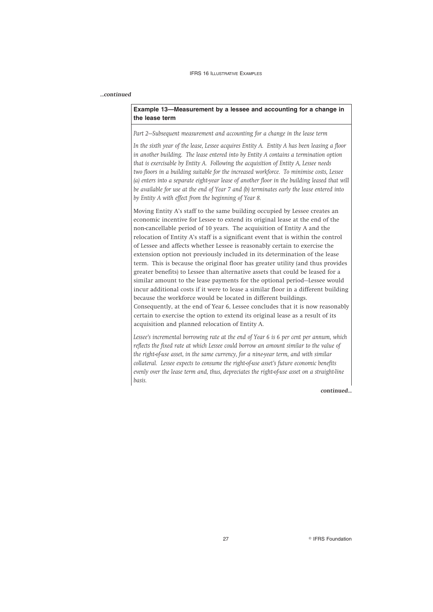### *...continued*

## **Example 13—Measurement by a lessee and accounting for a change in the lease term**

*Part 2—Subsequent measurement and accounting for a change in the lease term*

*In the sixth year of the lease, Lessee acquires Entity A. Entity A has been leasing a floor in another building. The lease entered into by Entity A contains a termination option that is exercisable by Entity A. Following the acquisition of Entity A, Lessee needs two floors in a building suitable for the increased workforce. To minimise costs, Lessee (a) enters into a separate eight-year lease of another floor in the building leased that will be available for use at the end of Year 7 and (b) terminates early the lease entered into by Entity A with effect from the beginning of Year 8.*

Moving Entity A's staff to the same building occupied by Lessee creates an economic incentive for Lessee to extend its original lease at the end of the non-cancellable period of 10 years. The acquisition of Entity A and the relocation of Entity A's staff is a significant event that is within the control of Lessee and affects whether Lessee is reasonably certain to exercise the extension option not previously included in its determination of the lease term. This is because the original floor has greater utility (and thus provides greater benefits) to Lessee than alternative assets that could be leased for a similar amount to the lease payments for the optional period—Lessee would incur additional costs if it were to lease a similar floor in a different building because the workforce would be located in different buildings. Consequently, at the end of Year 6, Lessee concludes that it is now reasonably certain to exercise the option to extend its original lease as a result of its acquisition and planned relocation of Entity A.

*Lessee's incremental borrowing rate at the end of Year 6 is 6 per cent per annum, which reflects the fixed rate at which Lessee could borrow an amount similar to the value of the right-of-use asset, in the same currency, for a nine-year term, and with similar collateral. Lessee expects to consume the right-of-use asset's future economic benefits evenly over the lease term and, thus, depreciates the right-of-use asset on a straight-line basis.*

*continued...*

27 **CONSIDERENT CONSTRUCTS CONSIDERED CONSIDERED CONSIDERED CONSIDERED CONSIDERED CONSIDERED CONSIDERED**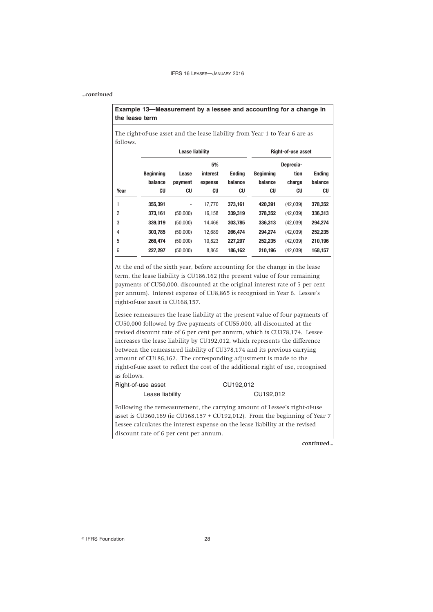#### *...continued*

| follows.       | The right-of-use asset and the lease liability from Year 1 to Year 6 are as |                        |                     |                          |                             |                           |                          |
|----------------|-----------------------------------------------------------------------------|------------------------|---------------------|--------------------------|-----------------------------|---------------------------|--------------------------|
|                |                                                                             | <b>Lease liability</b> |                     |                          |                             | <b>Right-of-use asset</b> |                          |
|                |                                                                             |                        | 5%                  |                          |                             | Deprecia-                 |                          |
|                | <b>Beginning</b><br>balance                                                 | Lease<br>payment       | interest<br>expense | <b>Ending</b><br>balance | <b>Beginning</b><br>balance | tion<br>charge            | <b>Ending</b><br>balance |
| Year           | CU                                                                          | CU                     | CU                  | CU                       | CU                          | CU                        | CU                       |
| 1              | 355,391                                                                     |                        | 17,770              | 373,161                  | 420,391                     | (42, 039)                 | 378,352                  |
| $\overline{2}$ | 373,161                                                                     | (50,000)               | 16,158              | 339,319                  | 378,352                     | (42,039)                  | 336,313                  |
| 3              | 339,319                                                                     | (50,000)               | 14,466              | 303,785                  | 336,313                     | (42, 039)                 | 294,274                  |
| 4              | 303,785                                                                     | (50,000)               | 12,689              | 266,474                  | 294,274                     | (42, 039)                 | 252,235                  |
| 5              | 266,474                                                                     | (50,000)               | 10,823              | 227,297                  | 252,235                     | (42,039)                  | 210,196                  |
| 6              | 227,297                                                                     | (50,000)               | 8,865               | 186,162                  | 210,196                     | (42, 039)                 | 168,157                  |

At the end of the sixth year, before accounting for the change in the lease term, the lease liability is CU186,162 (the present value of four remaining payments of CU50,000, discounted at the original interest rate of 5 per cent per annum). Interest expense of CU8,865 is recognised in Year 6. Lessee's right-of-use asset is CU168,157.

Lessee remeasures the lease liability at the present value of four payments of CU50,000 followed by five payments of CU55,000, all discounted at the revised discount rate of 6 per cent per annum, which is CU378,174. Lessee increases the lease liability by CU192,012, which represents the difference between the remeasured liability of CU378,174 and its previous carrying amount of CU186,162. The corresponding adjustment is made to the right-of-use asset to reflect the cost of the additional right of use, recognised as follows.

Right-of-use asset CU192,012 Lease liability CU192,012

Following the remeasurement, the carrying amount of Lessee's right-of-use asset is CU360,169 (ie CU168,157 + CU192,012). From the beginning of Year 7 Lessee calculates the interest expense on the lease liability at the revised discount rate of 6 per cent per annum.

*continued...*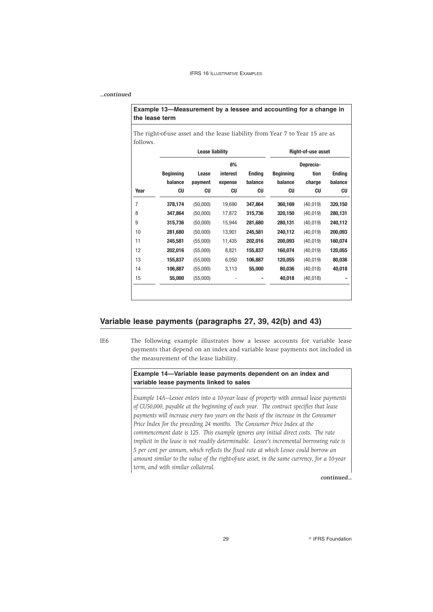#### *...continued*

| follows. | The right-of-use asset and the lease liability from Year 7 to Year 15 are as |                        |          |               |                  |                    |               |
|----------|------------------------------------------------------------------------------|------------------------|----------|---------------|------------------|--------------------|---------------|
|          |                                                                              | <b>Lease liability</b> |          |               |                  | Right-of-use asset |               |
|          |                                                                              |                        | 6%       |               |                  | Deprecia-          |               |
|          | <b>Beginning</b>                                                             | Lease                  | interest | <b>Ending</b> | <b>Beginning</b> | tion               | <b>Ending</b> |
|          | balance                                                                      | payment                | expense  | balance       | balance          | charge             | balance       |
| Year     | CU                                                                           | CU                     | CU       | <b>CU</b>     | CU               | CU                 | <b>CU</b>     |
| 7        | 378,174                                                                      | (50,000)               | 19,690   | 347,864       | 360,169          | (40, 019)          | 320,150       |
| 8        | 347,864                                                                      | (50,000)               | 17,872   | 315,736       | 320,150          | (40, 019)          | 280,131       |
| 9        | 315,736                                                                      | (50,000)               | 15,944   | 281,680       | 280,131          | (40, 019)          | 240,112       |
| 10       | 281,680                                                                      | (50,000)               | 13,901   | 245,581       | 240,112          | (40, 019)          | 200,093       |
| 11       | 245,581                                                                      | (55,000)               | 11,435   | 202,016       | 200,093          | (40, 019)          | 160,074       |
| 12       | 202,016                                                                      | (55,000)               | 8,821    | 155,837       | 160,074          | (40, 019)          | 120,055       |
| 13       | 155,837                                                                      | (55,000)               | 6,050    | 106,887       | 120,055          | (40, 019)          | 80,036        |
| 14       | 106,887                                                                      | (55,000)               | 3,113    | 55,000        | 80,036           | (40, 018)          | 40,018        |
| 15       | 55,000                                                                       | (55,000)               |          |               | 40,018           | (40, 018)          |               |

## **Variable lease payments (paragraphs 27, 39, 42(b) and 43)**

IE6 The following example illustrates how a lessee accounts for variable lease payments that depend on an index and variable lease payments not included in the measurement of the lease liability.

> **Example 14—Variable lease payments dependent on an index and variable lease payments linked to sales**

*Example 14A—Lessee enters into a 10-year lease of property with annual lease payments of CU50,000, payable at the beginning of each year. The contract specifies that lease payments will increase every two years on the basis of the increase in the Consumer Price Index for the preceding 24 months. The Consumer Price Index at the commencement date is 125. This example ignores any initial direct costs. The rate implicit in the lease is not readily determinable. Lessee's incremental borrowing rate is 5 per cent per annum, which reflects the fixed rate at which Lessee could borrow an amount similar to the value of the right-of-use asset, in the same currency, for a 10-year term, and with similar collateral.*

*continued...*

29 **CONFIDENTIAL CONTRACT CONTRACT CONTRACT CONTRACT CONTRACT CONTRACT CONTRACT CONTRACT CONTRACT CONTRACT CONTRACT CONTRACT CONTRACT CONTRACT CONTRACT CONTRACT CONTRACT CONTRACT CONTRACT CONTRACT CONTRACT CONTRACT CONTRAC**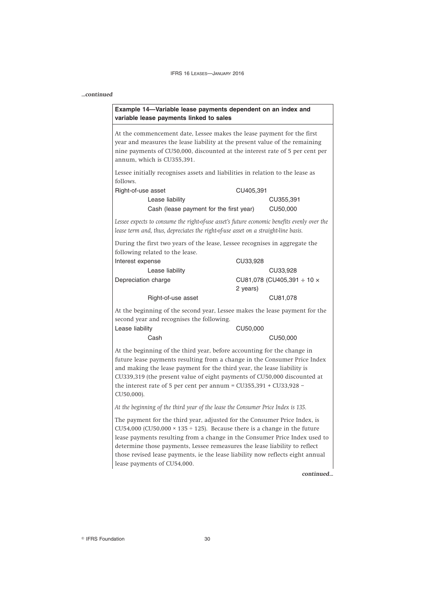| continued |  |
|-----------|--|
|           |  |
|           |  |

| Example 14-Variable lease payments dependent on an index and<br>variable lease payments linked to sales                                                                                                                                                                                                                                                                                                                                   |                                                                                  |  |  |  |  |
|-------------------------------------------------------------------------------------------------------------------------------------------------------------------------------------------------------------------------------------------------------------------------------------------------------------------------------------------------------------------------------------------------------------------------------------------|----------------------------------------------------------------------------------|--|--|--|--|
| At the commencement date, Lessee makes the lease payment for the first<br>year and measures the lease liability at the present value of the remaining<br>nine payments of CU50,000, discounted at the interest rate of 5 per cent per<br>annum, which is CU355,391.                                                                                                                                                                       |                                                                                  |  |  |  |  |
| Lessee initially recognises assets and liabilities in relation to the lease as<br>follows.                                                                                                                                                                                                                                                                                                                                                |                                                                                  |  |  |  |  |
| Right-of-use asset<br>Lease liability<br>Cash (lease payment for the first year)                                                                                                                                                                                                                                                                                                                                                          | CU405,391<br>CU355,391<br>CU50,000                                               |  |  |  |  |
| Lessee expects to consume the right-of-use asset's future economic benefits evenly over the<br>lease term and, thus, depreciates the right-of-use asset on a straight-line basis.                                                                                                                                                                                                                                                         |                                                                                  |  |  |  |  |
| During the first two years of the lease, Lessee recognises in aggregate the<br>following related to the lease.<br>Interest expense<br>Lease liability<br>Depreciation charge                                                                                                                                                                                                                                                              | CU33,928<br>CU33,928<br>CU81,078 (CU405,391 $\div$ 10 $\times$<br>2 years)       |  |  |  |  |
| Right-of-use asset                                                                                                                                                                                                                                                                                                                                                                                                                        | CU81,078                                                                         |  |  |  |  |
| At the beginning of the second year, Lessee makes the lease payment for the<br>second year and recognises the following.<br>Lease liability                                                                                                                                                                                                                                                                                               | CU50,000                                                                         |  |  |  |  |
| Cash                                                                                                                                                                                                                                                                                                                                                                                                                                      | CU50,000                                                                         |  |  |  |  |
| At the beginning of the third year, before accounting for the change in<br>future lease payments resulting from a change in the Consumer Price Index<br>and making the lease payment for the third year, the lease liability is<br>CU339,319 (the present value of eight payments of CU50,000 discounted at<br>the interest rate of 5 per cent per annum = $CU355,391 + CU33,928 -$<br>CU50,000).                                         |                                                                                  |  |  |  |  |
|                                                                                                                                                                                                                                                                                                                                                                                                                                           | At the beginning of the third year of the lease the Consumer Price Index is 135. |  |  |  |  |
| The payment for the third year, adjusted for the Consumer Price Index, is<br>CU54,000 (CU50,000 $\times$ 135 ÷ 125). Because there is a change in the future<br>lease payments resulting from a change in the Consumer Price Index used to<br>determine those payments, Lessee remeasures the lease liability to reflect<br>those revised lease payments, ie the lease liability now reflects eight annual<br>lease payments of CU54,000. |                                                                                  |  |  |  |  |
|                                                                                                                                                                                                                                                                                                                                                                                                                                           | continued                                                                        |  |  |  |  |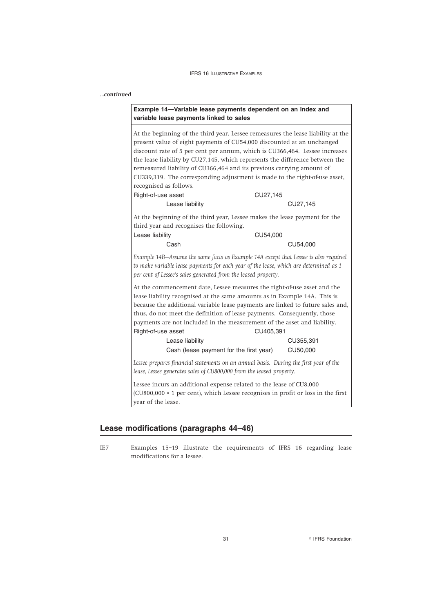*...continued*

| Example 14—Variable lease payments dependent on an index and |  |  |  |
|--------------------------------------------------------------|--|--|--|
| variable lease payments linked to sales                      |  |  |  |

At the beginning of the third year, Lessee remeasures the lease liability at the present value of eight payments of CU54,000 discounted at an unchanged discount rate of 5 per cent per annum, which is CU366,464. Lessee increases the lease liability by CU27,145, which represents the difference between the remeasured liability of CU366,464 and its previous carrying amount of CU339,319. The corresponding adjustment is made to the right-of-use asset, recognised as follows. Right-of-use asset CU27,145

| Lease liability | CU27,145 |
|-----------------|----------|
|                 |          |

At the beginning of the third year, Lessee makes the lease payment for the third year and recognises the following.

| Lease liability | CU54,000 |
|-----------------|----------|
| Cash            | CU54,000 |

*Example 14B—Assume the same facts as Example 14A except that Lessee is also required to make variable lease payments for each year of the lease, which are determined as 1 per cent of Lessee's sales generated from the leased property.*

At the commencement date, Lessee measures the right-of-use asset and the lease liability recognised at the same amounts as in Example 14A. This is because the additional variable lease payments are linked to future sales and, thus, do not meet the definition of lease payments. Consequently, those payments are not included in the measurement of the asset and liability. Right-of-use asset CU405,391

> Lease liability CU355,391 Cash (lease payment for the first year) CU50,000

*Lessee prepares financial statements on an annual basis. During the first year of the lease, Lessee generates sales of CU800,000 from the leased property.*

Lessee incurs an additional expense related to the lease of CU8,000 (CU800,000 × 1 per cent), which Lessee recognises in profit or loss in the first year of the lease.

## **Lease modifications (paragraphs 44–46)**

IE7 Examples 15–19 illustrate the requirements of IFRS 16 regarding lease modifications for a lessee.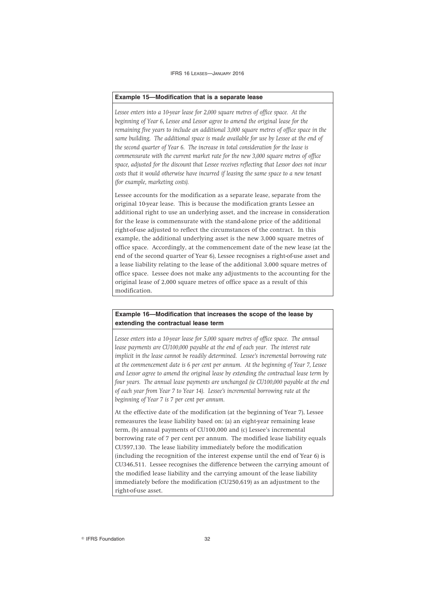#### **Example 15—Modification that is a separate lease**

*Lessee enters into a 10-year lease for 2,000 square metres of office space. At the beginning of Year 6, Lessee and Lessor agree to amend the original lease for the remaining five years to include an additional 3,000 square metres of office space in the same building. The additional space is made available for use by Lessee at the end of the second quarter of Year 6. The increase in total consideration for the lease is commensurate with the current market rate for the new 3,000 square metres of office space, adjusted for the discount that Lessee receives reflecting that Lessor does not incur costs that it would otherwise have incurred if leasing the same space to a new tenant (for example, marketing costs).*

Lessee accounts for the modification as a separate lease, separate from the original 10-year lease. This is because the modification grants Lessee an additional right to use an underlying asset, and the increase in consideration for the lease is commensurate with the stand-alone price of the additional right-of-use adjusted to reflect the circumstances of the contract. In this example, the additional underlying asset is the new 3,000 square metres of office space. Accordingly, at the commencement date of the new lease (at the end of the second quarter of Year 6), Lessee recognises a right-of-use asset and a lease liability relating to the lease of the additional 3,000 square metres of office space. Lessee does not make any adjustments to the accounting for the original lease of 2,000 square metres of office space as a result of this modification.

## **Example 16—Modification that increases the scope of the lease by extending the contractual lease term**

*Lessee enters into a 10-year lease for 5,000 square metres of office space. The annual lease payments are CU100,000 payable at the end of each year. The interest rate implicit in the lease cannot be readily determined. Lessee's incremental borrowing rate at the commencement date is 6 per cent per annum. At the beginning of Year 7, Lessee and Lessor agree to amend the original lease by extending the contractual lease term by four years. The annual lease payments are unchanged (ie CU100,000 payable at the end of each year from Year 7 to Year 14). Lessee's incremental borrowing rate at the beginning of Year 7 is 7 per cent per annum.*

At the effective date of the modification (at the beginning of Year 7), Lessee remeasures the lease liability based on: (a) an eight-year remaining lease term, (b) annual payments of CU100,000 and (c) Lessee's incremental borrowing rate of 7 per cent per annum. The modified lease liability equals CU597,130. The lease liability immediately before the modification (including the recognition of the interest expense until the end of Year 6) is CU346,511. Lessee recognises the difference between the carrying amount of the modified lease liability and the carrying amount of the lease liability immediately before the modification (CU250,619) as an adjustment to the right-of-use asset.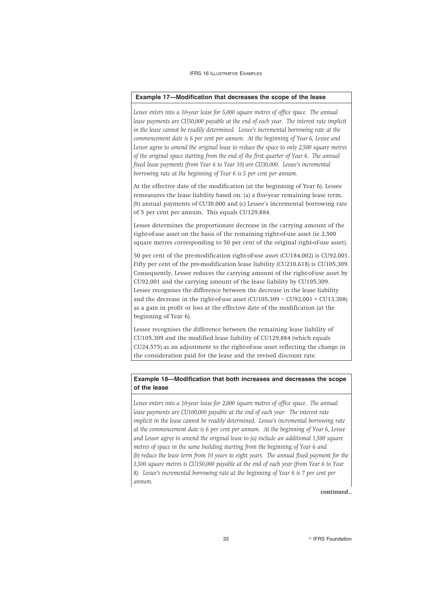#### **Example 17—Modification that decreases the scope of the lease**

*Lessee enters into a 10-year lease for 5,000 square metres of office space. The annual lease payments are CU50,000 payable at the end of each year. The interest rate implicit in the lease cannot be readily determined. Lessee's incremental borrowing rate at the commencement date is 6 per cent per annum. At the beginning of Year 6, Lessee and Lessor agree to amend the original lease to reduce the space to only 2,500 square metres of the original space starting from the end of the first quarter of Year 6. The annual fixed lease payments (from Year 6 to Year 10) are CU30,000. Lessee's incremental borrowing rate at the beginning of Year 6 is 5 per cent per annum.*

At the effective date of the modification (at the beginning of Year 6), Lessee remeasures the lease liability based on: (a) a five-year remaining lease term, (b) annual payments of CU30,000 and (c) Lessee's incremental borrowing rate of 5 per cent per annum. This equals CU129,884.

Lessee determines the proportionate decrease in the carrying amount of the right-of-use asset on the basis of the remaining right-of-use asset (ie 2,500 square metres corresponding to 50 per cent of the original right-of-use asset).

50 per cent of the pre-modification right-of-use asset (CU184,002) is CU92,001. Fifty per cent of the pre-modification lease liability (CU210,618) is CU105,309. Consequently, Lessee reduces the carrying amount of the right-of-use asset by CU92,001 and the carrying amount of the lease liability by CU105,309. Lessee recognises the difference between the decrease in the lease liability and the decrease in the right-of-use asset (CU105,309 – CU92,001 = CU13,308) as a gain in profit or loss at the effective date of the modification (at the beginning of Year 6).

Lessee recognises the difference between the remaining lease liability of CU105,309 and the modified lease liability of CU129,884 (which equals CU24,575) as an adjustment to the right-of-use asset reflecting the change in the consideration paid for the lease and the revised discount rate.

## **Example 18—Modification that both increases and decreases the scope of the lease**

*Lessee enters into a 10-year lease for 2,000 square metres of office space. The annual lease payments are CU100,000 payable at the end of each year. The interest rate implicit in the lease cannot be readily determined. Lessee's incremental borrowing rate at the commencement date is 6 per cent per annum. At the beginning of Year 6, Lessee and Lessor agree to amend the original lease to (a) include an additional 1,500 square metres of space in the same building starting from the beginning of Year 6 and (b) reduce the lease term from 10 years to eight years. The annual fixed payment for the 3,500 square metres is CU150,000 payable at the end of each year (from Year 6 to Year 8). Lessee's incremental borrowing rate at the beginning of Year 6 is 7 per cent per annum.*

*continued...*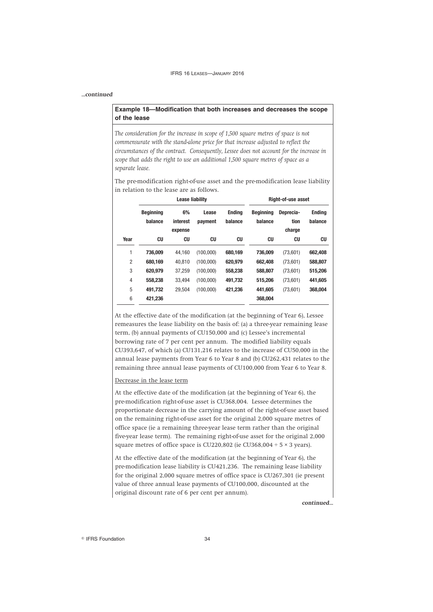#### *...continued*

## **Example 18—Modification that both increases and decreases the scope of the lease**

*The consideration for the increase in scope of 1,500 square metres of space is not commensurate with the stand-alone price for that increase adjusted to reflect the circumstances of the contract. Consequently, Lessee does not account for the increase in scope that adds the right to use an additional 1,500 square metres of space as a separate lease.*

The pre-modification right-of-use asset and the pre-modification lease liability in relation to the lease are as follows.

|      |                             | <b>Lease liability</b>    |                  |                          | Right-of-use asset          |                             |                          |
|------|-----------------------------|---------------------------|------------------|--------------------------|-----------------------------|-----------------------------|--------------------------|
|      | <b>Beginning</b><br>balance | 6%<br>interest<br>expense | Lease<br>payment | <b>Endina</b><br>balance | <b>Beginning</b><br>balance | Deprecia-<br>tion<br>charge | <b>Ending</b><br>balance |
| Year | CU                          | CU                        | CU               | CU                       | CU                          | CU                          | CU                       |
| 1    | 736,009                     | 44,160                    | (100,000)        | 680,169                  | 736,009                     | (73,601)                    | 662,408                  |
| 2    | 680,169                     | 40,810                    | (100.000)        | 620,979                  | 662,408                     | (73,601)                    | 588,807                  |
| 3    | 620,979                     | 37,259                    | (100,000)        | 558,238                  | 588,807                     | (73,601)                    | 515,206                  |
| 4    | 558,238                     | 33.494                    | (100,000)        | 491.732                  | 515,206                     | (73,601)                    | 441,605                  |
| 5    | 491,732                     | 29.504                    | (100,000)        | 421.236                  | 441.605                     | (73,601)                    | 368,004                  |
| 6    | 421,236                     |                           |                  |                          | 368,004                     |                             |                          |

At the effective date of the modification (at the beginning of Year 6), Lessee remeasures the lease liability on the basis of: (a) a three-year remaining lease term, (b) annual payments of CU150,000 and (c) Lessee's incremental borrowing rate of 7 per cent per annum. The modified liability equals CU393,647, of which (a) CU131,216 relates to the increase of CU50,000 in the annual lease payments from Year 6 to Year 8 and (b) CU262,431 relates to the remaining three annual lease payments of CU100,000 from Year 6 to Year 8.

#### Decrease in the lease term

At the effective date of the modification (at the beginning of Year 6), the pre-modification right-of-use asset is CU368,004. Lessee determines the proportionate decrease in the carrying amount of the right-of-use asset based on the remaining right-of-use asset for the original 2,000 square metres of office space (ie a remaining three-year lease term rather than the original five-year lease term). The remaining right-of-use asset for the original 2,000 square metres of office space is CU220,802 (ie CU368,004 ÷ 5  $\times$  3 years).

At the effective date of the modification (at the beginning of Year 6), the pre-modification lease liability is CU421,236. The remaining lease liability for the original 2,000 square metres of office space is CU267,301 (ie present value of three annual lease payments of CU100,000, discounted at the original discount rate of 6 per cent per annum).

*continued...*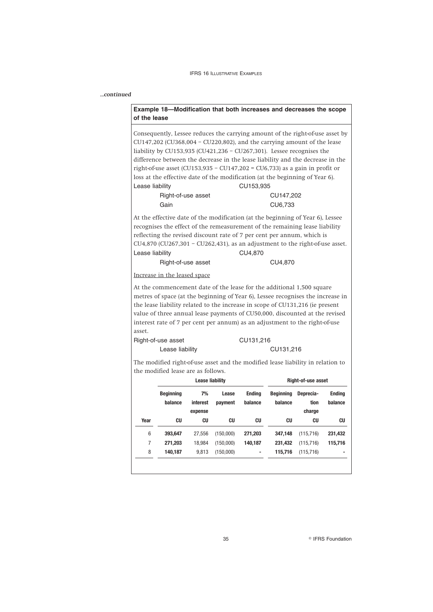#### *...continued*

## **Example 18—Modification that both increases and decreases the scope of the lease**

Consequently, Lessee reduces the carrying amount of the right-of-use asset by CU147,202 (CU368,004 – CU220,802), and the carrying amount of the lease liability by CU153,935 (CU421,236 – CU267,301). Lessee recognises the difference between the decrease in the lease liability and the decrease in the right-of-use asset (CU153,935 – CU147,202 = CU6,733) as a gain in profit or loss at the effective date of the modification (at the beginning of Year 6). Lease liability CU153,935

| Right-of-use asset | CU147,202 |
|--------------------|-----------|
| Gain               | CU6.733   |

At the effective date of the modification (at the beginning of Year 6), Lessee recognises the effect of the remeasurement of the remaining lease liability reflecting the revised discount rate of 7 per cent per annum, which is CU4,870 (CU267,301 – CU262,431), as an adjustment to the right-of-use asset. Lease liability CU4,870

| Right-of-use asset | CU4,870 |
|--------------------|---------|
|--------------------|---------|

## Increase in the leased space

At the commencement date of the lease for the additional 1,500 square metres of space (at the beginning of Year 6), Lessee recognises the increase in the lease liability related to the increase in scope of CU131,216 (ie present value of three annual lease payments of CU50,000, discounted at the revised interest rate of 7 per cent per annum) as an adjustment to the right-of-use asset.

| Right-of-use asset | CU131,216 |  |  |
|--------------------|-----------|--|--|
| Lease liability    | CU131,216 |  |  |

The modified right-of-use asset and the modified lease liability in relation to the modified lease are as follows.

|                          | Right-of-use asset          |                             | <b>Lease liability</b>   |                  |                           |                             |      |
|--------------------------|-----------------------------|-----------------------------|--------------------------|------------------|---------------------------|-----------------------------|------|
| <b>Ending</b><br>balance | Deprecia-<br>tion<br>charge | <b>Beginning</b><br>balance | <b>Endina</b><br>balance | Lease<br>payment | 7%<br>interest<br>expense | <b>Beginning</b><br>balance |      |
| CU                       | CU                          | CU                          | CU                       | CU               | CU                        | CU                          | Year |
| 231,432                  | (115, 716)                  | 347,148                     | 271,203                  | (150,000)        | 27.556                    | 393,647                     | 6    |
| 115,716                  | (115, 716)                  | 231.432                     | 140.187                  | (150.000)        | 18.984                    | 271.203                     | 7    |
| -                        | (115, 716)                  | 115,716                     | ۰                        | (150,000)        | 9.813                     | 140,187                     | 8    |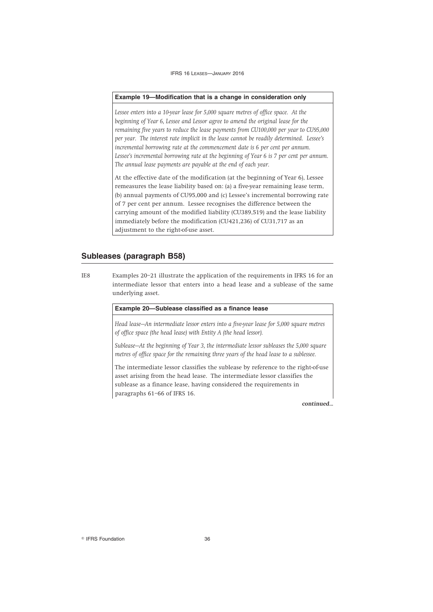#### **Example 19—Modification that is a change in consideration only**

*Lessee enters into a 10-year lease for 5,000 square metres of office space. At the beginning of Year 6, Lessee and Lessor agree to amend the original lease for the remaining five years to reduce the lease payments from CU100,000 per year to CU95,000 per year. The interest rate implicit in the lease cannot be readily determined. Lessee's incremental borrowing rate at the commencement date is 6 per cent per annum. Lessee's incremental borrowing rate at the beginning of Year 6 is 7 per cent per annum. The annual lease payments are payable at the end of each year.*

At the effective date of the modification (at the beginning of Year 6), Lessee remeasures the lease liability based on: (a) a five-year remaining lease term, (b) annual payments of CU95,000 and (c) Lessee's incremental borrowing rate of 7 per cent per annum. Lessee recognises the difference between the carrying amount of the modified liability (CU389,519) and the lease liability immediately before the modification (CU421,236) of CU31,717 as an adjustment to the right-of-use asset.

## **Subleases (paragraph B58)**

IE8 Examples 20–21 illustrate the application of the requirements in IFRS 16 for an intermediate lessor that enters into a head lease and a sublease of the same underlying asset.

## **Example 20—Sublease classified as a finance lease**

*Head lease—An intermediate lessor enters into a five-year lease for 5,000 square metres of office space (the head lease) with Entity A (the head lessor).*

*Sublease—At the beginning of Year 3, the intermediate lessor subleases the 5,000 square metres of office space for the remaining three years of the head lease to a sublessee.*

The intermediate lessor classifies the sublease by reference to the right-of-use asset arising from the head lease. The intermediate lessor classifies the sublease as a finance lease, having considered the requirements in paragraphs 61–66 of IFRS 16.

*continued...*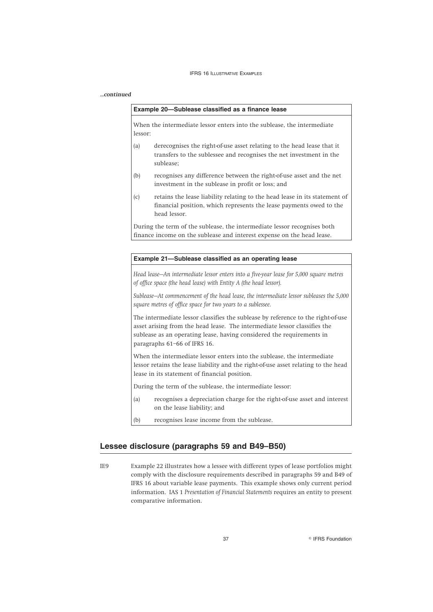### *...continued*

#### **Example 20—Sublease classified as a finance lease**

When the intermediate lessor enters into the sublease, the intermediate lessor:

- (a) derecognises the right-of-use asset relating to the head lease that it transfers to the sublessee and recognises the net investment in the sublease;
- (b) recognises any difference between the right-of-use asset and the net investment in the sublease in profit or loss; and
- (c) retains the lease liability relating to the head lease in its statement of financial position, which represents the lease payments owed to the head lessor.

During the term of the sublease, the intermediate lessor recognises both finance income on the sublease and interest expense on the head lease.

#### **Example 21—Sublease classified as an operating lease**

*Head lease—An intermediate lessor enters into a five-year lease for 5,000 square metres of office space (the head lease) with Entity A (the head lessor).*

*Sublease—At commencement of the head lease, the intermediate lessor subleases the 5,000 square metres of office space for two years to a sublessee.*

The intermediate lessor classifies the sublease by reference to the right-of-use asset arising from the head lease. The intermediate lessor classifies the sublease as an operating lease, having considered the requirements in paragraphs 61–66 of IFRS 16.

When the intermediate lessor enters into the sublease, the intermediate lessor retains the lease liability and the right-of-use asset relating to the head lease in its statement of financial position.

During the term of the sublease, the intermediate lessor:

- (a) recognises a depreciation charge for the right-of-use asset and interest on the lease liability; and
- (b) recognises lease income from the sublease.

## **Lessee disclosure (paragraphs 59 and B49–B50)**

IE9 Example 22 illustrates how a lessee with different types of lease portfolios might comply with the disclosure requirements described in paragraphs 59 and B49 of IFRS 16 about variable lease payments. This example shows only current period information. IAS 1 *Presentation of Financial Statements* requires an entity to present comparative information.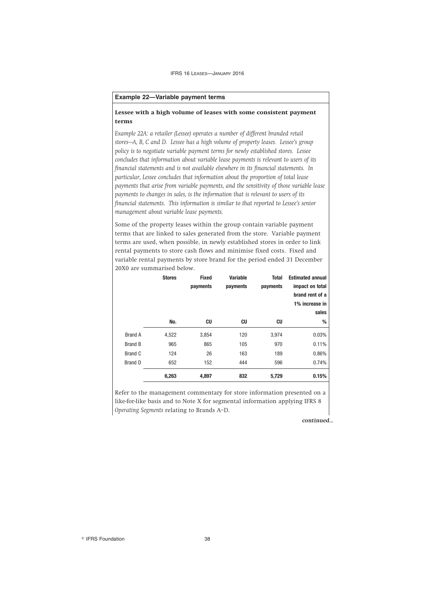#### **Example 22—Variable payment terms**

## **Lessee with a high volume of leases with some consistent payment terms**

*Example 22A: a retailer (Lessee) operates a number of different branded retail stores—A, B, C and D. Lessee has a high volume of property leases. Lessee's group policy is to negotiate variable payment terms for newly established stores. Lessee concludes that information about variable lease payments is relevant to users of its financial statements and is not available elsewhere in its financial statements. In particular, Lessee concludes that information about the proportion of total lease payments that arise from variable payments, and the sensitivity of those variable lease payments to changes in sales, is the information that is relevant to users of its financial statements. This information is similar to that reported to Lessee's senior management about variable lease payments.*

Some of the property leases within the group contain variable payment terms that are linked to sales generated from the store. Variable payment terms are used, when possible, in newly established stores in order to link rental payments to store cash flows and minimise fixed costs. Fixed and variable rental payments by store brand for the period ended 31 December 20X0 are summarised below.

|                | <b>Stores</b> | <b>Fixed</b> | <b>Variable</b> | Total    | <b>Estimated annual</b> |
|----------------|---------------|--------------|-----------------|----------|-------------------------|
|                |               | payments     | payments        | payments | impact on total         |
|                |               |              |                 |          | brand rent of a         |
|                |               |              |                 |          | 1% increase in          |
|                |               |              |                 |          | sales                   |
|                | No.           | CU           | CU              | CU       | %                       |
| <b>Brand A</b> | 4,522         | 3,854        | 120             | 3,974    | 0.03%                   |
| <b>Brand B</b> | 965           | 865          | 105             | 970      | 0.11%                   |
| Brand C        | 124           | 26           | 163             | 189      | 0.86%                   |
| <b>Brand D</b> | 652           | 152          | 444             | 596      | 0.74%                   |
|                | 6,263         | 4,897        | 832             | 5,729    | 0.15%                   |

Refer to the management commentary for store information presented on a like-for-like basis and to Note X for segmental information applying IFRS 8 *Operating Segments* relating to Brands A–D.

*continued...*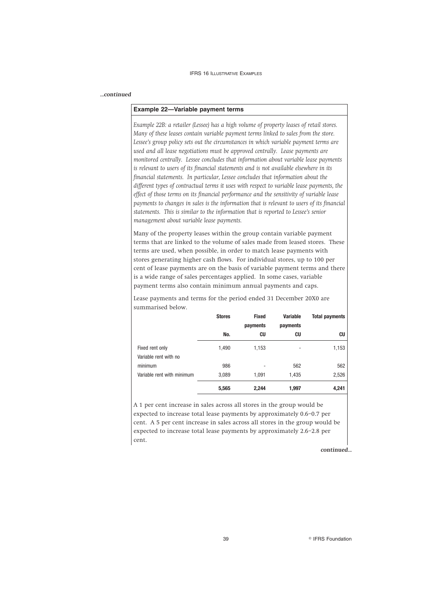#### *...continued*

#### **Example 22—Variable payment terms**

*Example 22B: a retailer (Lessee) has a high volume of property leases of retail stores. Many of these leases contain variable payment terms linked to sales from the store. Lessee's group policy sets out the circumstances in which variable payment terms are used and all lease negotiations must be approved centrally. Lease payments are monitored centrally. Lessee concludes that information about variable lease payments is relevant to users of its financial statements and is not available elsewhere in its financial statements. In particular, Lessee concludes that information about the different types of contractual terms it uses with respect to variable lease payments, the effect of those terms on its financial performance and the sensitivity of variable lease payments to changes in sales is the information that is relevant to users of its financial statements. This is similar to the information that is reported to Lessee's senior management about variable lease payments.*

Many of the property leases within the group contain variable payment terms that are linked to the volume of sales made from leased stores. These terms are used, when possible, in order to match lease payments with stores generating higher cash flows. For individual stores, up to 100 per cent of lease payments are on the basis of variable payment terms and there is a wide range of sales percentages applied. In some cases, variable payment terms also contain minimum annual payments and caps.

Lease payments and terms for the period ended 31 December 20X0 are summarised below.

|                            | <b>Stores</b> | <b>Fixed</b><br>payments | Variable<br>payments | <b>Total payments</b> |
|----------------------------|---------------|--------------------------|----------------------|-----------------------|
|                            | No.           | CU                       | CU                   | CU                    |
| Fixed rent only            | 1,490         | 1,153                    |                      | 1,153                 |
| Variable rent with no      |               |                          |                      |                       |
| minimum                    | 986           |                          | 562                  | 562                   |
| Variable rent with minimum | 3,089         | 1,091                    | 1,435                | 2,526                 |
|                            | 5,565         | 2,244                    | 1,997                | 4,241                 |

A 1 per cent increase in sales across all stores in the group would be expected to increase total lease payments by approximately 0.6–0.7 per cent. A 5 per cent increase in sales across all stores in the group would be expected to increase total lease payments by approximately 2.6–2.8 per cent.

*continued...*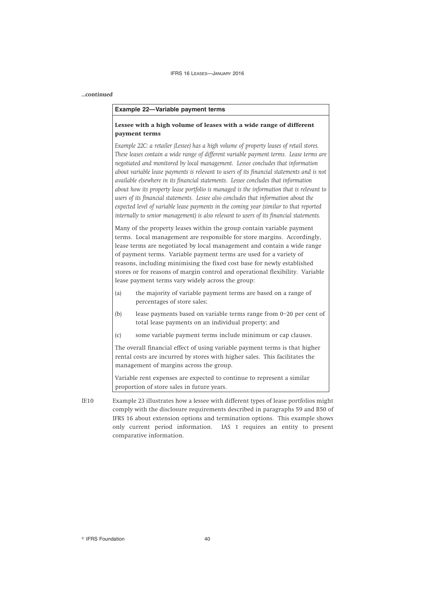#### *...continued*

#### **Example 22—Variable payment terms**

## **Lessee with a high volume of leases with a wide range of different payment terms**

*Example 22C: a retailer (Lessee) has a high volume of property leases of retail stores. These leases contain a wide range of different variable payment terms. Lease terms are negotiated and monitored by local management. Lessee concludes that information about variable lease payments is relevant to users of its financial statements and is not available elsewhere in its financial statements. Lessee concludes that information about how its property lease portfolio is managed is the information that is relevant to users of its financial statements. Lessee also concludes that information about the expected level of variable lease payments in the coming year (similar to that reported internally to senior management) is also relevant to users of its financial statements.*

Many of the property leases within the group contain variable payment terms. Local management are responsible for store margins. Accordingly, lease terms are negotiated by local management and contain a wide range of payment terms. Variable payment terms are used for a variety of reasons, including minimising the fixed cost base for newly established stores or for reasons of margin control and operational flexibility. Variable lease payment terms vary widely across the group:

- (a) the majority of variable payment terms are based on a range of percentages of store sales;
- (b) lease payments based on variable terms range from 0–20 per cent of total lease payments on an individual property; and
- (c) some variable payment terms include minimum or cap clauses.

The overall financial effect of using variable payment terms is that higher rental costs are incurred by stores with higher sales. This facilitates the management of margins across the group.

Variable rent expenses are expected to continue to represent a similar proportion of store sales in future years.

IE10 Example 23 illustrates how a lessee with different types of lease portfolios might comply with the disclosure requirements described in paragraphs 59 and B50 of IFRS 16 about extension options and termination options. This example shows only current period information. IAS 1 requires an entity to present comparative information.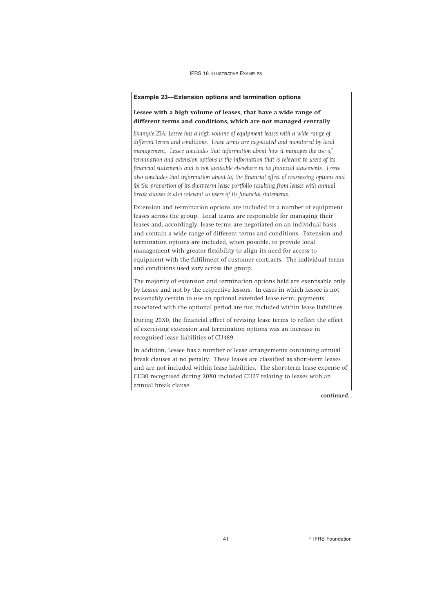#### **Example 23—Extension options and termination options**

## **Lessee with a high volume of leases, that have a wide range of different terms and conditions, which are not managed centrally**

*Example 23A: Lessee has a high volume of equipment leases with a wide range of different terms and conditions. Lease terms are negotiated and monitored by local management. Lessee concludes that information about how it manages the use of termination and extension options is the information that is relevant to users of its financial statements and is not available elsewhere in its financial statements. Lessee also concludes that information about (a) the financial effect of reassessing options and (b) the proportion of its short-term lease portfolio resulting from leases with annual break clauses is also relevant to users of its financial statements.*

Extension and termination options are included in a number of equipment leases across the group. Local teams are responsible for managing their leases and, accordingly, lease terms are negotiated on an individual basis and contain a wide range of different terms and conditions. Extension and termination options are included, when possible, to provide local management with greater flexibility to align its need for access to equipment with the fulfilment of customer contracts. The individual terms and conditions used vary across the group.

The majority of extension and termination options held are exercisable only by Lessee and not by the respective lessors. In cases in which Lessee is not reasonably certain to use an optional extended lease term, payments associated with the optional period are not included within lease liabilities.

During 20X0, the financial effect of revising lease terms to reflect the effect of exercising extension and termination options was an increase in recognised lease liabilities of CU489.

In addition, Lessee has a number of lease arrangements containing annual break clauses at no penalty. These leases are classified as short-term leases and are not included within lease liabilities. The short-term lease expense of CU30 recognised during 20X0 included CU27 relating to leases with an annual break clause.

*continued...*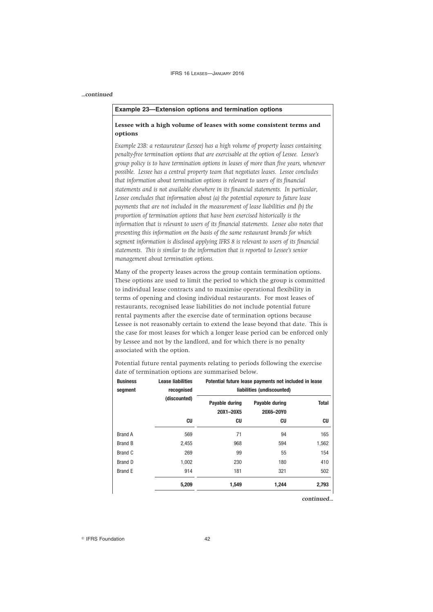#### *...continued*

#### **Example 23—Extension options and termination options**

## **Lessee with a high volume of leases with some consistent terms and options**

*Example 23B: a restaurateur (Lessee) has a high volume of property leases containing penalty-free termination options that are exercisable at the option of Lessee. Lessee's group policy is to have termination options in leases of more than five years, whenever possible. Lessee has a central property team that negotiates leases. Lessee concludes that information about termination options is relevant to users of its financial statements and is not available elsewhere in its financial statements. In particular, Lessee concludes that information about (a) the potential exposure to future lease payments that are not included in the measurement of lease liabilities and (b) the proportion of termination options that have been exercised historically is the information that is relevant to users of its financial statements. Lessee also notes that presenting this information on the basis of the same restaurant brands for which segment information is disclosed applying IFRS 8 is relevant to users of its financial statements. This is similar to the information that is reported to Lessee's senior management about termination options.*

Many of the property leases across the group contain termination options. These options are used to limit the period to which the group is committed to individual lease contracts and to maximise operational flexibility in terms of opening and closing individual restaurants. For most leases of restaurants, recognised lease liabilities do not include potential future rental payments after the exercise date of termination options because Lessee is not reasonably certain to extend the lease beyond that date. This is the case for most leases for which a longer lease period can be enforced only by Lessee and not by the landlord, and for which there is no penalty associated with the option.

Potential future rental payments relating to periods following the exercise date of termination options are summarised below.

| <b>Business</b><br>segment | <b>Lease liabilities</b><br>recognised | Potential future lease payments not included in lease<br>liabilities (undiscounted) |                             |              |  |
|----------------------------|----------------------------------------|-------------------------------------------------------------------------------------|-----------------------------|--------------|--|
|                            | (discounted)                           | Payable during<br>20X1-20X5                                                         | Payable during<br>20X6-20Y0 | <b>Total</b> |  |
|                            | CU                                     | CU                                                                                  | CU                          | CU           |  |
| <b>Brand A</b>             | 569                                    | 71                                                                                  | 94                          | 165          |  |
| <b>Brand B</b>             | 2,455                                  | 968                                                                                 | 594                         | 1,562        |  |
| Brand C                    | 269                                    | 99                                                                                  | 55                          | 154          |  |
| Brand D                    | 1,002                                  | 230                                                                                 | 180                         | 410          |  |
| Brand E                    | 914                                    | 181                                                                                 | 321                         | 502          |  |
|                            | 5,209                                  | 1,549                                                                               | 1,244                       | 2,793        |  |

*continued...*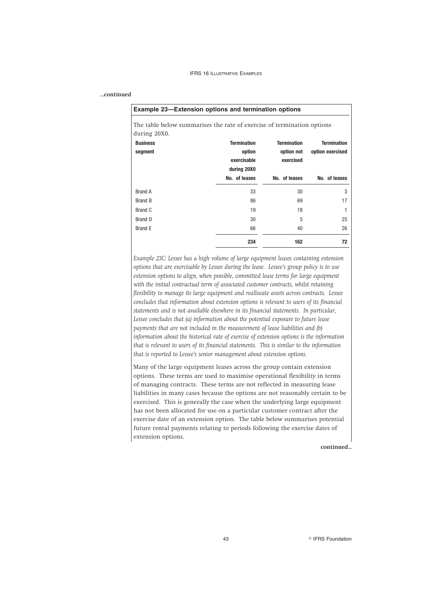#### *...continued*

| <b>Example 23–Extension options and termination options</b>                            |                                             |                                               |                                        |  |  |  |
|----------------------------------------------------------------------------------------|---------------------------------------------|-----------------------------------------------|----------------------------------------|--|--|--|
| The table below summarises the rate of exercise of termination options<br>during 20X0. |                                             |                                               |                                        |  |  |  |
| <b>Business</b><br>segment                                                             | <b>Termination</b><br>option<br>exercisable | <b>Termination</b><br>option not<br>exercised | <b>Termination</b><br>option exercised |  |  |  |
|                                                                                        | during 20X0<br>No. of leases                | No. of leases                                 | No. of leases                          |  |  |  |
| <b>Brand A</b>                                                                         | 33                                          | 30                                            | 3                                      |  |  |  |
| Brand B                                                                                | 86                                          | 69                                            | 17                                     |  |  |  |
| Brand C                                                                                | 19                                          | 18                                            |                                        |  |  |  |
| Brand D                                                                                | 30                                          | 5                                             | 25                                     |  |  |  |
| <b>Brand E</b>                                                                         | 66                                          | 40                                            | 26                                     |  |  |  |
|                                                                                        | 234                                         | 162                                           | 72                                     |  |  |  |

*Example 23C: Lessee has a high volume of large equipment leases containing extension options that are exercisable by Lessee during the lease. Lessee's group policy is to use extension options to align, when possible, committed lease terms for large equipment with the initial contractual term of associated customer contracts, whilst retaining flexibility to manage its large equipment and reallocate assets across contracts. Lessee concludes that information about extension options is relevant to users of its financial statements and is not available elsewhere in its financial statements. In particular, Lessee concludes that (a) information about the potential exposure to future lease payments that are not included in the measurement of lease liabilities and (b) information about the historical rate of exercise of extension options is the information that is relevant to users of its financial statements. This is similar to the information that is reported to Lessee's senior management about extension options.*

Many of the large equipment leases across the group contain extension options. These terms are used to maximise operational flexibility in terms of managing contracts. These terms are not reflected in measuring lease liabilities in many cases because the options are not reasonably certain to be exercised. This is generally the case when the underlying large equipment has not been allocated for use on a particular customer contract after the exercise date of an extension option. The table below summarises potential future rental payments relating to periods following the exercise dates of extension options.

*continued...*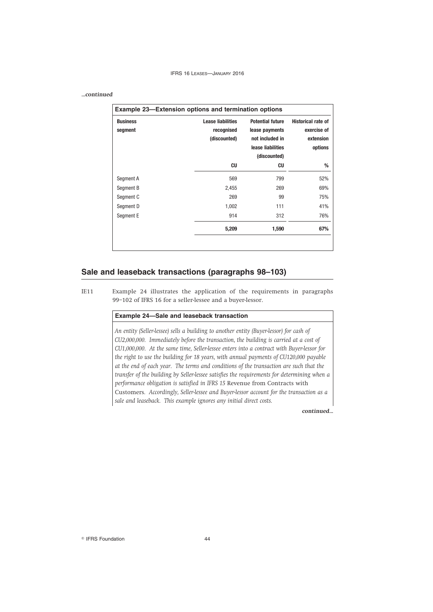| <b>Historical rate of</b><br>exercise of<br>extension<br>options | <b>Potential future</b><br>lease payments<br>not included in<br>lease liabilities<br>(discounted) | <b>Lease liabilities</b><br>recognised<br>(discounted) | <b>Business</b><br>segment |
|------------------------------------------------------------------|---------------------------------------------------------------------------------------------------|--------------------------------------------------------|----------------------------|
| %                                                                | CU                                                                                                | <b>CU</b>                                              |                            |
| 52%                                                              | 799                                                                                               | 569                                                    | Segment A                  |
| 69%                                                              | 269                                                                                               | 2,455                                                  | Segment B                  |
| 75%                                                              | 99                                                                                                | 269                                                    | Segment C                  |
| 41%                                                              | 111                                                                                               | 1,002                                                  | Segment D                  |
| 76%                                                              | 312                                                                                               | 914                                                    | Segment E                  |
| 67%                                                              | 1,590                                                                                             | 5,209                                                  |                            |

#### *...continued*

## **Sale and leaseback transactions (paragraphs 98–103)**

IE11 Example 24 illustrates the application of the requirements in paragraphs 99–102 of IFRS 16 for a seller-lessee and a buyer-lessor.

## **Example 24—Sale and leaseback transaction**

*An entity (Seller-lessee) sells a building to another entity (Buyer-lessor) for cash of CU2,000,000. Immediately before the transaction, the building is carried at a cost of CU1,000,000. At the same time, Seller-lessee enters into a contract with Buyer-lessor for the right to use the building for 18 years, with annual payments of CU120,000 payable at the end of each year. The terms and conditions of the transaction are such that the transfer of the building by Seller-lessee satisfies the requirements for determining when a performance obligation is satisfied in IFRS 15* Revenue from Contracts with Customers*. Accordingly, Seller-lessee and Buyer-lessor account for the transaction as a sale and leaseback. This example ignores any initial direct costs.*

*continued...*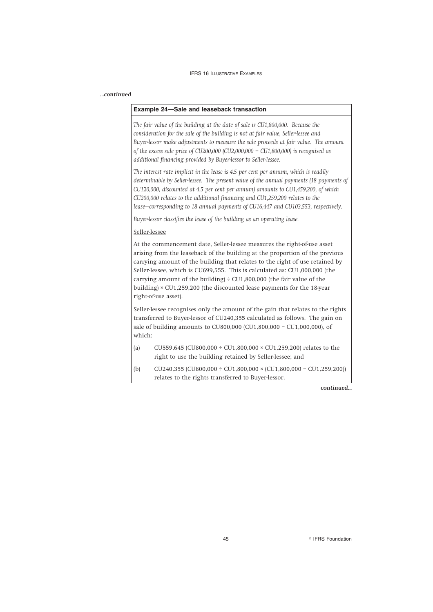#### *...continued*

## **Example 24—Sale and leaseback transaction**

*The fair value of the building at the date of sale is CU1,800,000. Because the consideration for the sale of the building is not at fair value, Seller-lessee and Buyer-lessor make adjustments to measure the sale proceeds at fair value. The amount of the excess sale price of CU200,000 (CU2,000,000 – CU1,800,000) is recognised as additional financing provided by Buyer-lessor to Seller-lessee.*

*The interest rate implicit in the lease is 4.5 per cent per annum, which is readily determinable by Seller-lessee. The present value of the annual payments (18 payments of CU120,000, discounted at 4.5 per cent per annum) amounts to CU1,459,200, of which CU200,000 relates to the additional financing and CU1,259,200 relates to the lease—corresponding to 18 annual payments of CU16,447 and CU103,553, respectively.*

*Buyer-lessor classifies the lease of the building as an operating lease.*

#### Seller-lessee

At the commencement date, Seller-lessee measures the right-of-use asset arising from the leaseback of the building at the proportion of the previous carrying amount of the building that relates to the right of use retained by Seller-lessee, which is CU699,555. This is calculated as: CU1,000,000 (the carrying amount of the building)  $\div$  CU1,800,000 (the fair value of the building) × CU1,259,200 (the discounted lease payments for the 18-year right-of-use asset).

Seller-lessee recognises only the amount of the gain that relates to the rights transferred to Buyer-lessor of CU240,355 calculated as follows. The gain on sale of building amounts to CU800,000 (CU1,800,000 – CU1,000,000), of which:

- (a) CU559,645 (CU800,000 ÷ CU1,800,000 × CU1,259,200) relates to the right to use the building retained by Seller-lessee; and
- (b)  $CU240,355 (CU800,000 \div CU1,800,000 \times (CU1,800,000 CU1,259,200))$ relates to the rights transferred to Buyer-lessor.

*continued...*

45 **CONSERVIST SERVIS ENGINEERING SERVIS SERVIS ENGINEERING**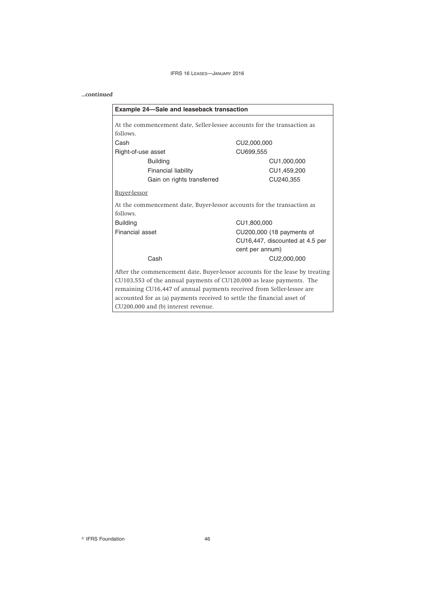## *...continued*

 $\mathsf{r}$ 

| <b>Example 24–Sale and leaseback transaction</b>                             |                                 |  |  |  |  |  |  |
|------------------------------------------------------------------------------|---------------------------------|--|--|--|--|--|--|
| At the commencement date, Seller-lessee accounts for the transaction as      |                                 |  |  |  |  |  |  |
| follows.                                                                     |                                 |  |  |  |  |  |  |
| Cash                                                                         | CU2,000,000                     |  |  |  |  |  |  |
| Right-of-use asset                                                           | CU699,555                       |  |  |  |  |  |  |
| <b>Building</b>                                                              | CU1,000,000                     |  |  |  |  |  |  |
| <b>Financial liability</b>                                                   | CU1,459,200                     |  |  |  |  |  |  |
| Gain on rights transferred                                                   | CU240,355                       |  |  |  |  |  |  |
| Buyer-lessor                                                                 |                                 |  |  |  |  |  |  |
| At the commencement date, Buyer-lessor accounts for the transaction as       |                                 |  |  |  |  |  |  |
| follows.                                                                     |                                 |  |  |  |  |  |  |
| <b>Building</b>                                                              | CU1,800,000                     |  |  |  |  |  |  |
| <b>Financial asset</b>                                                       | CU200,000 (18 payments of       |  |  |  |  |  |  |
|                                                                              | CU16,447, discounted at 4.5 per |  |  |  |  |  |  |
|                                                                              | cent per annum)                 |  |  |  |  |  |  |
| Cash                                                                         | CU2,000,000                     |  |  |  |  |  |  |
| After the commencement date, Buyer-lessor accounts for the lease by treating |                                 |  |  |  |  |  |  |
| CU103,553 of the annual payments of CU120,000 as lease payments. The         |                                 |  |  |  |  |  |  |
| remaining CU16,447 of annual payments received from Seller-lessee are        |                                 |  |  |  |  |  |  |
| accounted for as (a) payments received to settle the financial asset of      |                                 |  |  |  |  |  |  |
| CU200,000 and (b) interest revenue.                                          |                                 |  |  |  |  |  |  |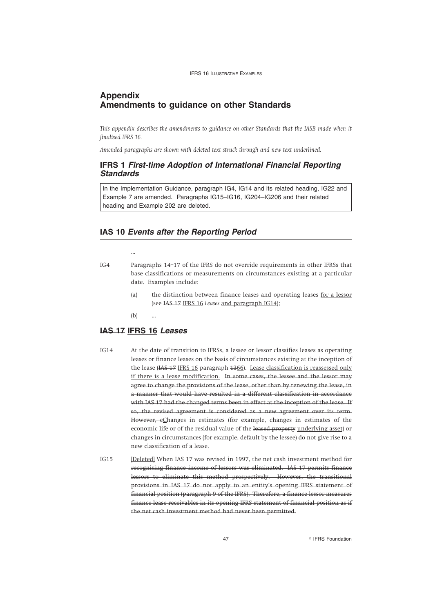## **Appendix Amendments to guidance on other Standards**

*This appendix describes the amendments to guidance on other Standards that the IASB made when it finalised IFRS 16.*

*Amended paragraphs are shown with deleted text struck through and new text underlined.*

## **IFRS 1** *First-time Adoption of International Financial Reporting Standards*

In the Implementation Guidance, paragraph IG4, IG14 and its related heading, IG22 and Example 7 are amended. Paragraphs IG15–IG16, IG204–IG206 and their related heading and Example 202 are deleted.

## **IAS 10** *Events after the Reporting Period*

- IG4 Paragraphs 14–17 of the IFRS do not override requirements in other IFRSs that base classifications or measurements on circumstances existing at a particular date. Examples include:
	- (a) the distinction between finance leases and operating leases for a lessor (see IAS 17 IFRS 16 *Leases* and paragraph IG14);
	- $(b)$

...

## **IAS 17 IFRS 16** *Leases*

- IG14 At the date of transition to IFRSs, a lessee or lessor classifies leases as operating leases or finance leases on the basis of circumstances existing at the inception of the lease (IAS 17 IFRS 16 paragraph 1366). Lease classification is reassessed only if there is a lease modification. In some cases, the lessee and the lessor may agree to change the provisions of the lease, other than by renewing the lease, in a manner that would have resulted in a different classification in accordance with IAS 17 had the changed terms been in effect at the inception of the lease. If so, the revised agreement is considered as a new agreement over its term. However, cChanges in estimates (for example, changes in estimates of the economic life or of the residual value of the leased property underlying asset) or changes in circumstances (for example, default by the lessee) do not give rise to a new classification of a lease.
- IG15 [Deleted] When IAS 17 was revised in 1997, the net cash investment method for recognising finance income of lessors was eliminated. IAS 17 permits finance lessors to eliminate this method prospectively. However, the transitional provisions in IAS 17 do not apply to an entity's opening IFRS statement of financial position (paragraph 9 of the IFRS). Therefore, a finance lessor measures finance lease receivables in its opening IFRS statement of financial position as if the net cash investment method had never been permitted.

47 **Constant Construction** Construction Construction Construction Construction Construction Construction Construction Construction Construction Construction Construction Construction Construction Construction Construction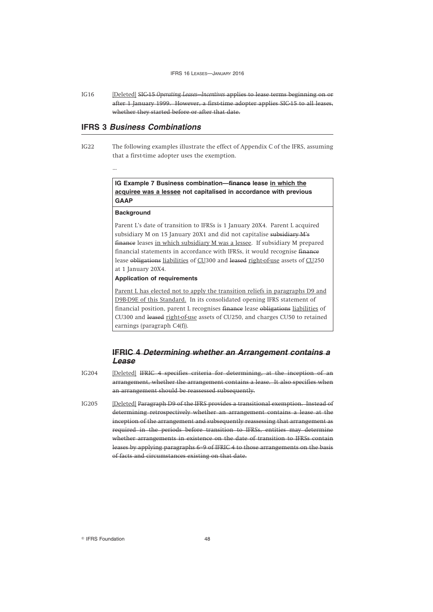IG16 [Deleted] SIC-15 *Operating Leases—Incentives* applies to lease terms beginning on or after 1 January 1999. However, a first-time adopter applies SIC-15 to all leases, whether they started before or after that date.

## **IFRS 3** *Business Combinations*

IG22 The following examples illustrate the effect of Appendix C of the IFRS, assuming that a first-time adopter uses the exemption.

...

## **IG Example 7 Business combination—finance lease in which the acquiree was a lessee not capitalised in accordance with previous GAAP**

## **Background**

Parent L's date of transition to IFRSs is 1 January 20X4. Parent L acquired subsidiary M on 15 January 20X1 and did not capitalise subsidiary M's finance leases in which subsidiary M was a lessee. If subsidiary M prepared financial statements in accordance with IFRSs, it would recognise finance lease obligations liabilities of CU300 and leased right-of-use assets of CU250 at 1 January 20X4.

### **Application of requirements**

Parent L has elected not to apply the transition reliefs in paragraphs D9 and D9B-D9E of this Standard. In its consolidated opening IFRS statement of financial position, parent L recognises finance lease obligations liabilities of CU300 and leased right-of-use assets of CU250, and charges CU50 to retained earnings (paragraph C4(f)).

## **IFRIC 4** *Determining whether an Arrangement contains a Lease*

- IG204 [Deleted] IFRIC 4 specifies criteria for determining, at the inception of an arrangement, whether the arrangement contains a lease. It also specifies when an arrangement should be reassessed subsequently.
- IG205 [Deleted] Paragraph D9 of the IFRS provides a transitional exemption. Instead of determining retrospectively whether an arrangement contains a lease at the inception of the arrangement and subsequently reassessing that arrangement as required in the periods before transition to IFRSs, entities may determine whether arrangements in existence on the date of transition to IFRSs contain leases by applying paragraphs 6–9 of IFRIC 4 to those arrangements on the basis of facts and circumstances existing on that date.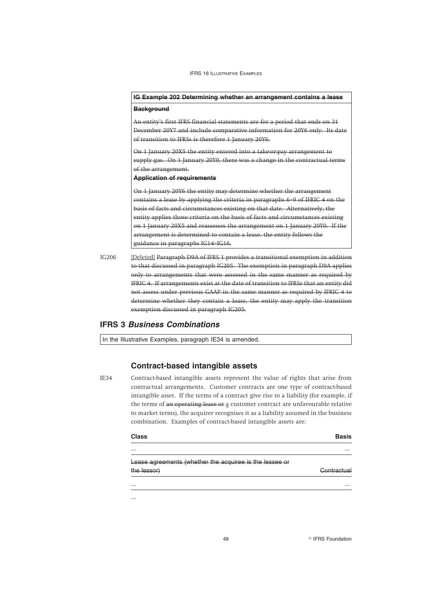## **IG Example 202 Determining whether an arrangement contains a lease**

#### **Background**

An entity's first IFRS financial statements are for a period that ends on 31 December 20Y7 and include comparative information for 20Y6 only. Its date of transition to IFRSs is therefore 1 January 20Y6.

On 1 January 20X5 the entity entered into a take-or-pay arrangement to supply gas. On 1 January 20Y0, there was a change in the contractual terms of the arrangement.

#### **Application of requirements**

On 1 January 20Y6 the entity may determine whether the arrangement contains a lease by applying the criteria in paragraphs 6–9 of IFRIC 4 on the basis of facts and circumstances existing on that date. Alternatively, the entity applies those criteria on the basis of facts and circumstances existing on 1 January 20X5 and reassesses the arrangement on 1 January 20Y0. If the arrangement is determined to contain a lease, the entity follows the guidance in paragraphs IG14–IG16.

IG206 [Deleted] Paragraph D9A of IFRS 1 provides a transitional exemption in addition to that discussed in paragraph IG205. The exemption in paragraph D9A applies only to arrangements that were assessed in the same manner as required by IFRIC 4. If arrangements exist at the date of transition to IFRSs that an entity did not assess under previous GAAP in the same manner as required by IFRIC 4 to determine whether they contain a lease, the entity may apply the transition exemption discussed in paragraph IG205.

## **IFRS 3** *Business Combinations*

In the Illustrative Examples, paragraph IE34 is amended.

## **Contract-based intangible assets**

IE34 Contract-based intangible assets represent the value of rights that arise from contractual arrangements. Customer contracts are one type of contract-based intangible asset. If the terms of a contract give rise to a liability (for example, if the terms of an operating lease or a customer contract are unfavourable relative to market terms), the acquirer recognises it as a liability assumed in the business combination. Examples of contract-based intangible assets are:

| <b>Basis</b> |
|--------------|
| $\cdots$     |
|              |
| Contractual  |
| $\cdots$     |
|              |

...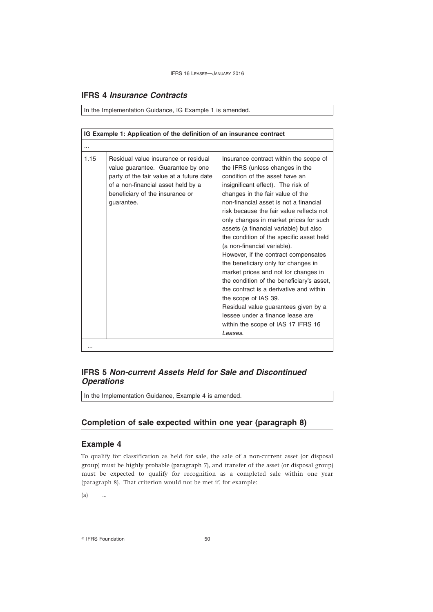## **IFRS 4** *Insurance Contracts*

In the Implementation Guidance, IG Example 1 is amended.

|      | IG Example 1: Application of the definition of an insurance contract                                                                                                                                         |                                                                                                                                                                                                                                                                                                                                                                                                                                                                                                                                                                                                                                                                                                                                                                                                                |  |  |  |  |  |  |
|------|--------------------------------------------------------------------------------------------------------------------------------------------------------------------------------------------------------------|----------------------------------------------------------------------------------------------------------------------------------------------------------------------------------------------------------------------------------------------------------------------------------------------------------------------------------------------------------------------------------------------------------------------------------------------------------------------------------------------------------------------------------------------------------------------------------------------------------------------------------------------------------------------------------------------------------------------------------------------------------------------------------------------------------------|--|--|--|--|--|--|
|      |                                                                                                                                                                                                              |                                                                                                                                                                                                                                                                                                                                                                                                                                                                                                                                                                                                                                                                                                                                                                                                                |  |  |  |  |  |  |
| 1.15 | Residual value insurance or residual<br>value quarantee. Guarantee by one<br>party of the fair value at a future date<br>of a non-financial asset held by a<br>beneficiary of the insurance or<br>guarantee. | Insurance contract within the scope of<br>the IFRS (unless changes in the<br>condition of the asset have an<br>insignificant effect). The risk of<br>changes in the fair value of the<br>non-financial asset is not a financial<br>risk because the fair value reflects not<br>only changes in market prices for such<br>assets (a financial variable) but also<br>the condition of the specific asset held<br>(a non-financial variable).<br>However, if the contract compensates<br>the beneficiary only for changes in<br>market prices and not for changes in<br>the condition of the beneficiary's asset,<br>the contract is a derivative and within<br>the scope of IAS 39.<br>Residual value quarantees given by a<br>lessee under a finance lease are<br>within the scope of IAS 17 IFRS 16<br>Leases. |  |  |  |  |  |  |
|      |                                                                                                                                                                                                              |                                                                                                                                                                                                                                                                                                                                                                                                                                                                                                                                                                                                                                                                                                                                                                                                                |  |  |  |  |  |  |

## **IFRS 5** *Non-current Assets Held for Sale and Discontinued Operations*

In the Implementation Guidance, Example 4 is amended.

## **Completion of sale expected within one year (paragraph 8)**

## **Example 4**

To qualify for classification as held for sale, the sale of a non-current asset (or disposal group) must be highly probable (paragraph 7), and transfer of the asset (or disposal group) must be expected to qualify for recognition as a completed sale within one year (paragraph 8). That criterion would not be met if, for example:

(a) ...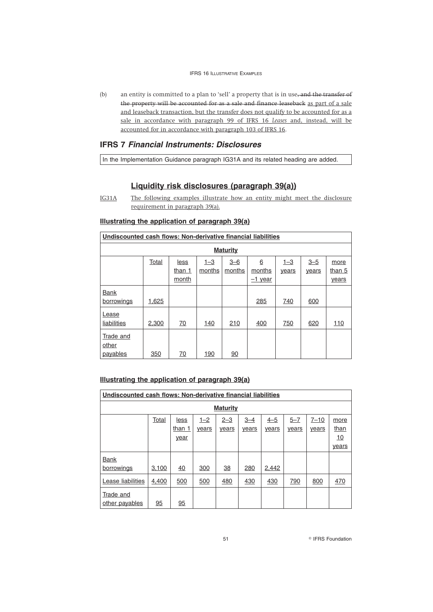(b) an entity is committed to a plan to 'sell' a property that is in use, and the transfer of the property will be accounted for as a sale and finance leaseback as part of a sale and leaseback transaction, but the transfer does not qualify to be accounted for as a sale in accordance with paragraph 99 of IFRS 16 *Leases* and, instead, will be accounted for in accordance with paragraph 103 of IFRS 16.

## **IFRS 7** *Financial Instruments: Disclosures*

In the Implementation Guidance paragraph IG31A and its related heading are added.

## **Liquidity risk disclosures (paragraph 39(a))**

IG31A The following examples illustrate how an entity might meet the disclosure requirement in paragraph 39(a).

| Undiscounted cash flows: Non-derivative financial liabilities |              |                                |                   |                   |                          |                  |                  |                         |  |  |  |
|---------------------------------------------------------------|--------------|--------------------------------|-------------------|-------------------|--------------------------|------------------|------------------|-------------------------|--|--|--|
| <b>Maturity</b>                                               |              |                                |                   |                   |                          |                  |                  |                         |  |  |  |
|                                                               | <b>Total</b> | <u>less</u><br>than 1<br>month | $1 - 3$<br>months | $3 - 6$<br>months | 6<br>months<br>$-1$ year | $1 - 3$<br>years | $3 - 5$<br>years | more<br>than 5<br>years |  |  |  |
| Bank<br>borrowings                                            | 1,625        |                                |                   |                   | 285                      | 740              | 600              |                         |  |  |  |
| Lease<br>liabilities                                          | 2,300        | <u>70</u>                      | <u>140</u>        | 210               | 400                      | 750              | 620              | <u>110</u>              |  |  |  |
| Trade and<br>other<br>payables                                | 350          | 70                             | 190               | 90                |                          |                  |                  |                         |  |  |  |

## **Illustrating the application of paragraph 39(a)**

## **Illustrating the application of paragraph 39(a)**

| Undiscounted cash flows: Non-derivative financial liabilities |       |             |         |         |         |         |         |          |            |  |
|---------------------------------------------------------------|-------|-------------|---------|---------|---------|---------|---------|----------|------------|--|
| <b>Maturity</b>                                               |       |             |         |         |         |         |         |          |            |  |
|                                                               | Total | <u>less</u> | $1 - 2$ | $2 - 3$ | $3 - 4$ | $4 - 5$ | $5 - 7$ | $7 - 10$ | more       |  |
|                                                               |       | than 1      | years   | years   | years   | years   | years   | years    | than       |  |
|                                                               |       | year        |         |         |         |         |         |          | <u> 10</u> |  |
|                                                               |       |             |         |         |         |         |         |          | years      |  |
| Bank                                                          |       |             |         |         |         |         |         |          |            |  |
| borrowings                                                    | 3,100 | 40          | 300     | 38      | 280     | 2,442   |         |          |            |  |
| Lease liabilities                                             | 4,400 | 500         | 500     | 480     | 430     | 430     | 790     | 800      | 470        |  |
| Trade and                                                     |       |             |         |         |         |         |         |          |            |  |
| other payables                                                | 95    | 95          |         |         |         |         |         |          |            |  |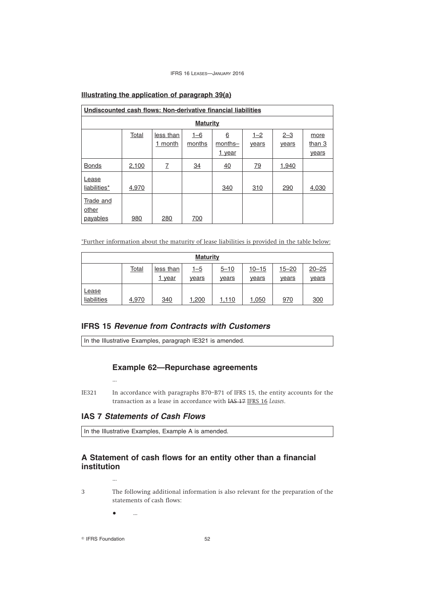## **Illustrating the application of paragraph 39(a)**

| Undiscounted cash flows: Non-derivative financial liabilities                                                                                                     |       |   |                 |     |           |       |       |  |  |  |
|-------------------------------------------------------------------------------------------------------------------------------------------------------------------|-------|---|-----------------|-----|-----------|-------|-------|--|--|--|
| <b>Maturity</b>                                                                                                                                                   |       |   |                 |     |           |       |       |  |  |  |
| <b>Total</b><br>6<br>less than<br>$1 - 6$<br>$1 - 2$<br>$2 - 3$<br>more<br>months<br>month<br>months-<br>1.<br>than 3<br>years<br>years<br><u>1 year</u><br>years |       |   |                 |     |           |       |       |  |  |  |
| <b>Bonds</b>                                                                                                                                                      | 2,100 | 7 | $\overline{34}$ | 40  | <u>79</u> | 1,940 |       |  |  |  |
| Lease<br>liabilities*                                                                                                                                             | 4,970 |   |                 | 340 | 310       | 290   | 4,030 |  |  |  |
| <b>Trade and</b><br>other<br>payables<br>980<br>280<br>700                                                                                                        |       |   |                 |     |           |       |       |  |  |  |

\*Further information about the maturity of lease liabilities is provided in the table below:

| <b>Maturity</b> |       |           |         |          |           |           |           |  |  |
|-----------------|-------|-----------|---------|----------|-----------|-----------|-----------|--|--|
|                 | Total | less than | $1 - 5$ | $5 - 10$ | $10 - 15$ | $15 - 20$ | $20 - 25$ |  |  |
|                 |       | year      | years   | years    | years     | years     | years     |  |  |
| Lease           |       |           |         |          |           |           |           |  |  |
| liabilities     | 4,970 | 340       | 1,200   | 1,110    | 1,050     | 970       | 300       |  |  |

## **IFRS 15** *Revenue from Contracts with Customers*

In the Illustrative Examples, paragraph IE321 is amended.

## **Example 62—Repurchase agreements**

...

IE321 In accordance with paragraphs B70-B71 of IFRS 15, the entity accounts for the transaction as a lease in accordance with IAS 17 IFRS 16 *Leases*.

## **IAS 7** *Statements of Cash Flows*

In the Illustrative Examples, Example A is amended.

## **A Statement of cash flows for an entity other than a financial institution**

3

...

The following additional information is also relevant for the preparation of the statements of cash flows:

● ...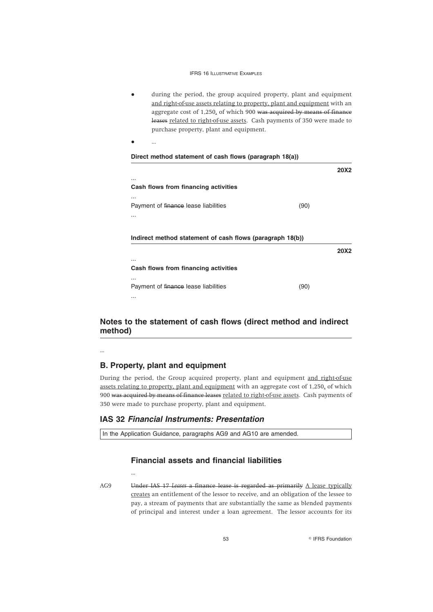during the period, the group acquired property, plant and equipment and right-of-use assets relating to property, plant and equipment with an aggregate cost of 1,250, of which 900 was acquired by means of finance leases related to right-of-use assets. Cash payments of 350 were made to purchase property, plant and equipment.

● ... **Direct method statement of cash flows (paragraph 18(a)) 20X2** ... **Cash flows from financing activities** ... Payment of finance lease liabilities (90) ... **Indirect method statement of cash flows (paragraph 18(b)) 20X2** ... **Cash flows from financing activities** Payment of finance lease liabilities (90) ...

## **Notes to the statement of cash flows (direct method and indirect method)**

## **B. Property, plant and equipment**

...

...

During the period, the Group acquired property, plant and equipment and right-of-use assets relating to property, plant and equipment with an aggregate cost of 1,250, of which 900 was acquired by means of finance leases related to right-of-use assets. Cash payments of 350 were made to purchase property, plant and equipment.

## **IAS 32** *Financial Instruments: Presentation*

In the Application Guidance, paragraphs AG9 and AG10 are amended.

## **Financial assets and financial liabilities**

AG9 Under IAS 17 *Leases* a finance lease is regarded as primarily A lease typically creates an entitlement of the lessor to receive, and an obligation of the lessee to pay, a stream of payments that are substantially the same as blended payments of principal and interest under a loan agreement. The lessor accounts for its

53 **CONFIDENTIAL CONTRACT OF STATE OF STATE SECTION**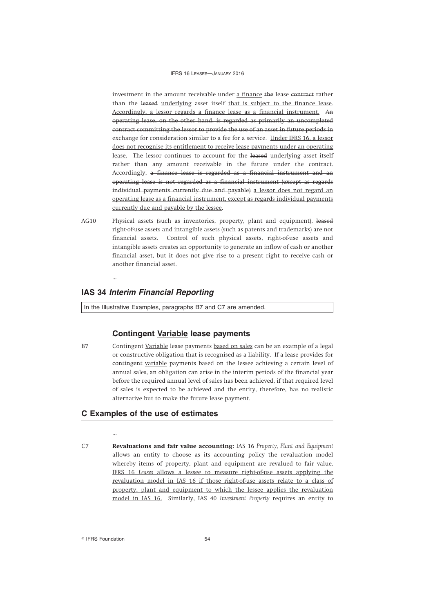investment in the amount receivable under a finance the lease contract rather than the leased underlying asset itself that is subject to the finance lease. Accordingly, a lessor regards a finance lease as a financial instrument. An operating lease, on the other hand, is regarded as primarily an uncompleted contract committing the lessor to provide the use of an asset in future periods in exchange for consideration similar to a fee for a service. Under IFRS 16, a lessor does not recognise its entitlement to receive lease payments under an operating lease. The lessor continues to account for the leased underlying asset itself rather than any amount receivable in the future under the contract. Accordingly, a finance lease is regarded as a financial instrument and an operating lease is not regarded as a financial instrument (except as regards individual payments currently due and payable) a lessor does not regard an operating lease as a financial instrument, except as regards individual payments currently due and payable by the lessee.

AG10 Physical assets (such as inventories, property, plant and equipment), leased right-of-use assets and intangible assets (such as patents and trademarks) are not financial assets. Control of such physical assets, right-of-use assets and intangible assets creates an opportunity to generate an inflow of cash or another financial asset, but it does not give rise to a present right to receive cash or another financial asset.

## **IAS 34** *Interim Financial Reporting*

...

...

In the Illustrative Examples, paragraphs B7 and C7 are amended.

## **Contingent Variable lease payments**

B7 Contingent Variable lease payments based on sales can be an example of a legal or constructive obligation that is recognised as a liability. If a lease provides for contingent variable payments based on the lessee achieving a certain level of annual sales, an obligation can arise in the interim periods of the financial year before the required annual level of sales has been achieved, if that required level of sales is expected to be achieved and the entity, therefore, has no realistic alternative but to make the future lease payment.

## **C Examples of the use of estimates**

C7 **Revaluations and fair value accounting:** IAS 16 *Property, Plant and Equipment* allows an entity to choose as its accounting policy the revaluation model whereby items of property, plant and equipment are revalued to fair value. IFRS 16 *Leases* allows a lessee to measure right-of-use assets applying the revaluation model in IAS 16 if those right-of-use assets relate to a class of property, plant and equipment to which the lessee applies the revaluation model in IAS 16. Similarly, IAS 40 *Investment Property* requires an entity to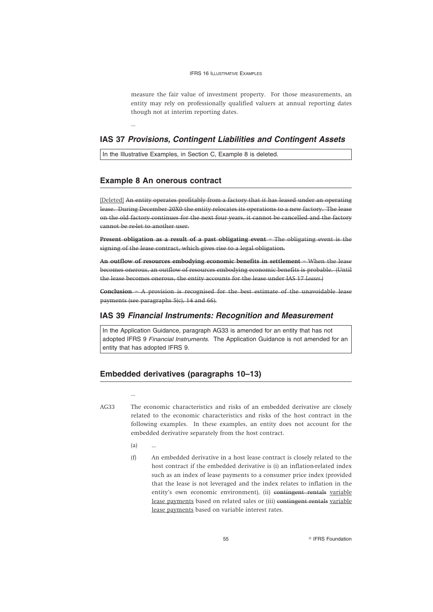measure the fair value of investment property. For those measurements, an entity may rely on professionally qualified valuers at annual reporting dates though not at interim reporting dates.

## **IAS 37** *Provisions, Contingent Liabilities and Contingent Assets*

In the Illustrative Examples, in Section C, Example 8 is deleted.

## **Example 8 An onerous contract**

...

[Deleted] An entity operates profitably from a factory that it has leased under an operating lease. During December 20X0 the entity relocates its operations to a new factory. The lease on the old factory continues for the next four years, it cannot be cancelled and the factory cannot be re-let to another user.

**Present obligation as a result of a past obligating event** – The obligating event is the signing of the lease contract, which gives rise to a legal obligation.

**An outflow of resources embodying economic benefits in settlement** – When the lease becomes onerous, an outflow of resources embodying economic benefits is probable. (Until the lease becomes onerous, the entity accounts for the lease under IAS 17 *Leases*.)

**Conclusion** – A provision is recognised for the best estimate of the unavoidable lease payments (see paragraphs 5(c), 14 and 66).

## **IAS 39** *Financial Instruments: Recognition and Measurement*

In the Application Guidance, paragraph AG33 is amended for an entity that has not adopted IFRS 9 *Financial Instruments*. The Application Guidance is not amended for an entity that has adopted IFRS 9.

## **Embedded derivatives (paragraphs 10–13)**

...

- AG33 The economic characteristics and risks of an embedded derivative are closely related to the economic characteristics and risks of the host contract in the following examples. In these examples, an entity does not account for the embedded derivative separately from the host contract.
	- $(a)$  ...
	- (f) An embedded derivative in a host lease contract is closely related to the host contract if the embedded derivative is (i) an inflation-related index such as an index of lease payments to a consumer price index (provided that the lease is not leveraged and the index relates to inflation in the entity's own economic environment), (ii) contingent rentals variable lease payments based on related sales or (iii) contingent rentals variable lease payments based on variable interest rates.

55 **CONSIDERS CONSIDERS** Foundation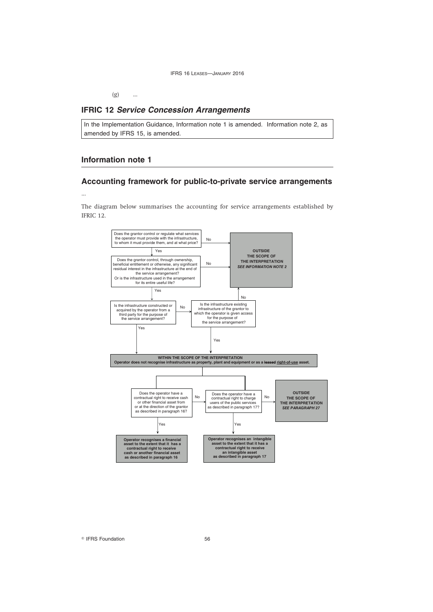$(g)$  ...

## **IFRIC 12** *Service Concession Arrangements*

In the Implementation Guidance, Information note 1 is amended. Information note 2, as amended by IFRS 15, is amended.

## **Information note 1**

...

## **Accounting framework for public-to-private service arrangements**

The diagram below summarises the accounting for service arrangements established by IFRIC 12.

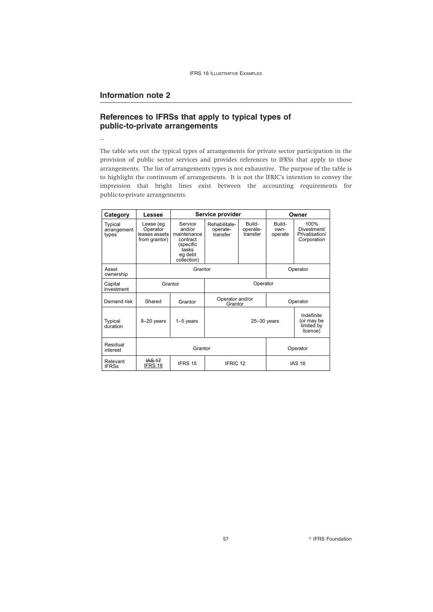## **Information note 2**

...

## **References to IFRSs that apply to typical types of public-to-private arrangements**

The table sets out the typical types of arrangements for private sector participation in the provision of public sector services and provides references to IFRSs that apply to those arrangements. The list of arrangements types is not exhaustive. The purpose of the table is to highlight the continuum of arrangements. It is not the IFRIC's intention to convey the impression that bright lines exist between the accounting requirements for public-to-private arrangements.

| Category                        | Lessee                                                  |                                                                                              | Service provider                                                      |                                | Owner                     |                                                      |  |  |
|---------------------------------|---------------------------------------------------------|----------------------------------------------------------------------------------------------|-----------------------------------------------------------------------|--------------------------------|---------------------------|------------------------------------------------------|--|--|
| Typical<br>arrangement<br>types | Lease (eg<br>Operator<br>leases assets<br>from grantor) | Service<br>and/or<br>maintenance<br>contract<br>(specific<br>tasks<br>eg debt<br>collection) | Rehabilitate-<br>operate-<br>transfer                                 | Build-<br>operate-<br>transfer | Build-<br>own-<br>operate | 100%<br>Divestment/<br>Privatisation/<br>Corporation |  |  |
| Asset<br>ownership              |                                                         | Grantor                                                                                      |                                                                       |                                | Operator                  |                                                      |  |  |
| Capital<br>investment           |                                                         | Grantor                                                                                      |                                                                       | Operator                       |                           |                                                      |  |  |
| Demand risk                     | Shared                                                  | Grantor                                                                                      | Operator and/or<br>Grantor                                            |                                | Operator                  |                                                      |  |  |
| Typical<br>duration             | 8-20 years                                              | $1-5$ years                                                                                  | Indefinite<br>(or may be<br>$25 - 30$ years<br>limited by<br>licence) |                                |                           |                                                      |  |  |
| Residual<br>interest            |                                                         | Grantor                                                                                      |                                                                       |                                | Operator                  |                                                      |  |  |
| Relevant<br><b>IFRSs</b>        | <b>IAS 17</b><br>IFRS 16                                | IFRS 15                                                                                      | <b>IFRIC 12</b>                                                       |                                | <b>IAS 16</b>             |                                                      |  |  |